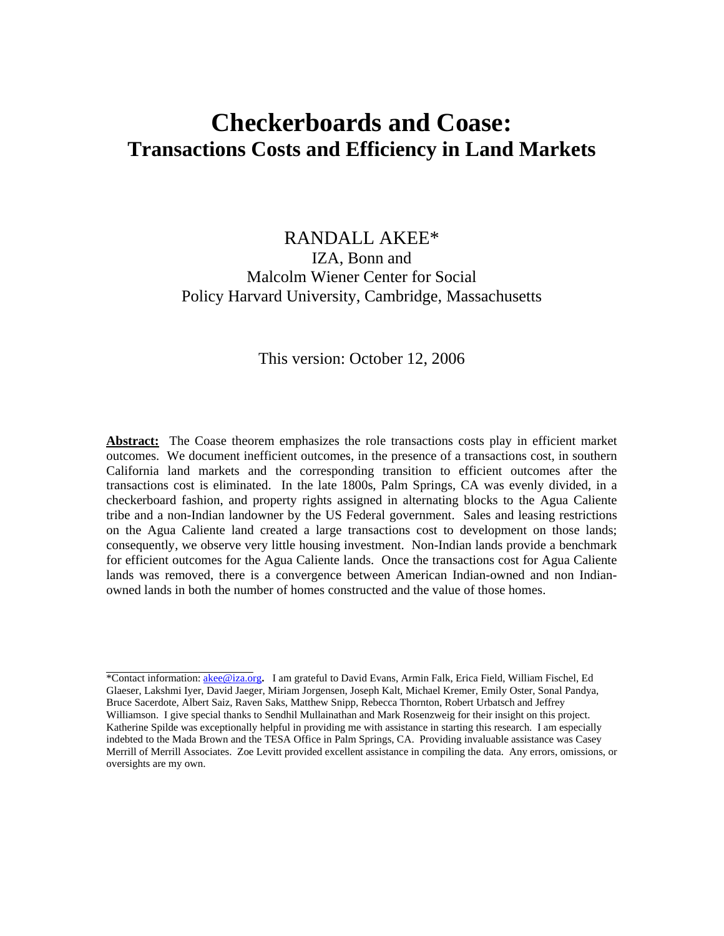# **Checkerboards and Coase: Transactions Costs and Efficiency in Land Markets**

## RANDALL AKEE\* IZA, Bonn and Malcolm Wiener Center for Social Policy Harvard University, Cambridge, Massachusetts

## This version: October 12, 2006

**Abstract:** The Coase theorem emphasizes the role transactions costs play in efficient market outcomes. We document inefficient outcomes, in the presence of a transactions cost, in southern California land markets and the corresponding transition to efficient outcomes after the transactions cost is eliminated. In the late 1800s, Palm Springs, CA was evenly divided, in a checkerboard fashion, and property rights assigned in alternating blocks to the Agua Caliente tribe and a non-Indian landowner by the US Federal government. Sales and leasing restrictions on the Agua Caliente land created a large transactions cost to development on those lands; consequently, we observe very little housing investment. Non-Indian lands provide a benchmark for efficient outcomes for the Agua Caliente lands. Once the transactions cost for Agua Caliente lands was removed, there is a convergence between American Indian-owned and non Indianowned lands in both the number of homes constructed and the value of those homes.

<sup>\*</sup>Contact information: [akee@iza.org](mailto:akee@fas.harvard.edu)**.** I am grateful to David Evans, Armin Falk, Erica Field, William Fischel, Ed Glaeser, Lakshmi Iyer, David Jaeger, Miriam Jorgensen, Joseph Kalt, Michael Kremer, Emily Oster, Sonal Pandya, Bruce Sacerdote, Albert Saiz, Raven Saks, Matthew Snipp, Rebecca Thornton, Robert Urbatsch and Jeffrey Williamson. I give special thanks to Sendhil Mullainathan and Mark Rosenzweig for their insight on this project. Katherine Spilde was exceptionally helpful in providing me with assistance in starting this research. I am especially indebted to the Mada Brown and the TESA Office in Palm Springs, CA. Providing invaluable assistance was Casey Merrill of Merrill Associates. Zoe Levitt provided excellent assistance in compiling the data. Any errors, omissions, or oversights are my own.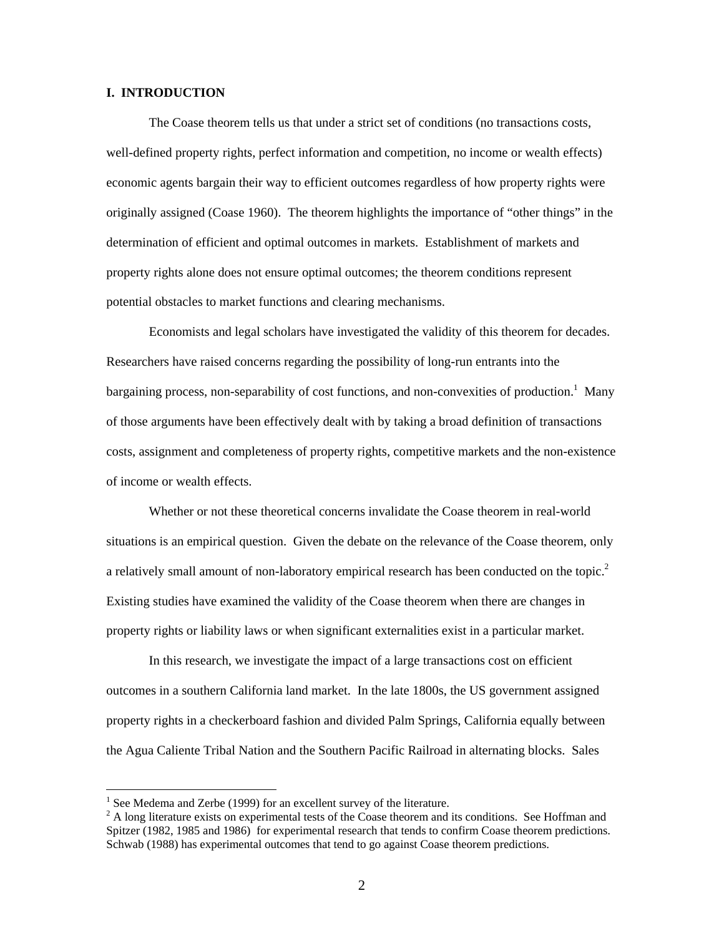## **I. INTRODUCTION**

The Coase theorem tells us that under a strict set of conditions (no transactions costs, well-defined property rights, perfect information and competition, no income or wealth effects) economic agents bargain their way to efficient outcomes regardless of how property rights were originally assigned (Coase 1960). The theorem highlights the importance of "other things" in the determination of efficient and optimal outcomes in markets. Establishment of markets and property rights alone does not ensure optimal outcomes; the theorem conditions represent potential obstacles to market functions and clearing mechanisms.

Economists and legal scholars have investigated the validity of this theorem for decades. Researchers have raised concerns regarding the possibility of long-run entrants into the bargaining process, non-separability of cost functions, and non-convexities of production.<sup>1</sup> Many of those arguments have been effectively dealt with by taking a broad definition of transactions costs, assignment and completeness of property rights, competitive markets and the non-existence of income or wealth effects.

Whether or not these theoretical concerns invalidate the Coase theorem in real-world situations is an empirical question. Given the debate on the relevance of the Coase theorem, only a relatively small amount of non-laboratory empirical research has been conducted on the topic.<sup>[2](#page-1-1)</sup> Existing studies have examined the validity of the Coase theorem when there are changes in property rights or liability laws or when significant externalities exist in a particular market.

In this research, we investigate the impact of a large transactions cost on efficient outcomes in a southern California land market. In the late 1800s, the US government assigned property rights in a checkerboard fashion and divided Palm Springs, California equally between the Agua Caliente Tribal Nation and the Southern Pacific Railroad in alternating blocks. Sales

<sup>&</sup>lt;sup>1</sup> See Medema and Zerbe (1999) for an excellent survey of the literature.

<span id="page-1-1"></span><span id="page-1-0"></span><sup>&</sup>lt;sup>2</sup> A long literature exists on experimental tests of the Coase theorem and its conditions. See Hoffman and Spitzer (1982, 1985 and 1986) for experimental research that tends to confirm Coase theorem predictions. Schwab (1988) has experimental outcomes that tend to go against Coase theorem predictions.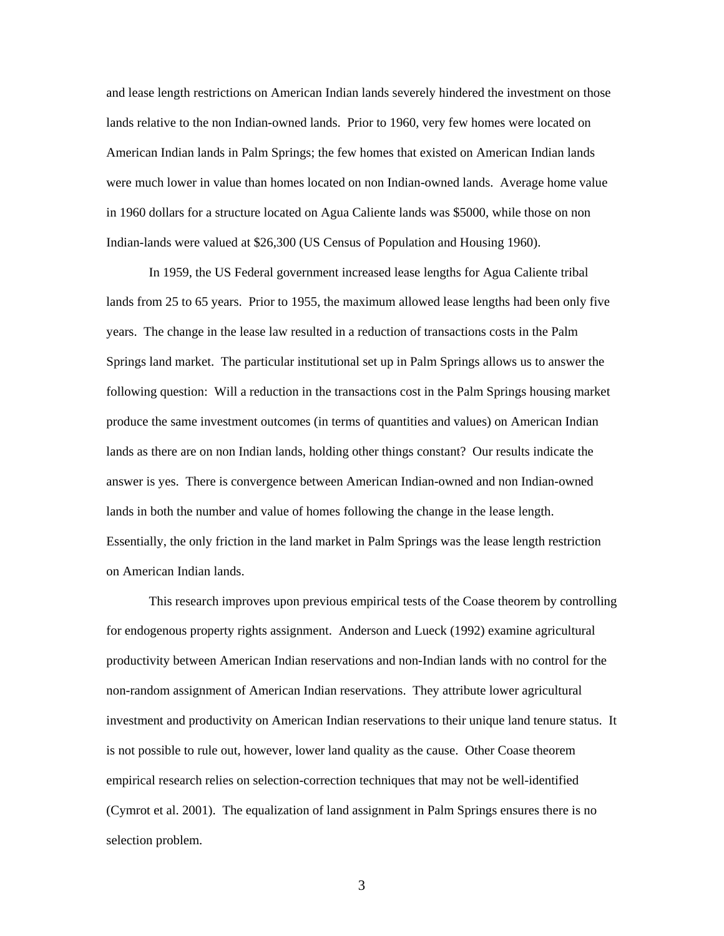and lease length restrictions on American Indian lands severely hindered the investment on those lands relative to the non Indian-owned lands. Prior to 1960, very few homes were located on American Indian lands in Palm Springs; the few homes that existed on American Indian lands were much lower in value than homes located on non Indian-owned lands. Average home value in 1960 dollars for a structure located on Agua Caliente lands was \$5000, while those on non Indian-lands were valued at \$26,300 (US Census of Population and Housing 1960).

In 1959, the US Federal government increased lease lengths for Agua Caliente tribal lands from 25 to 65 years. Prior to 1955, the maximum allowed lease lengths had been only five years. The change in the lease law resulted in a reduction of transactions costs in the Palm Springs land market. The particular institutional set up in Palm Springs allows us to answer the following question: Will a reduction in the transactions cost in the Palm Springs housing market produce the same investment outcomes (in terms of quantities and values) on American Indian lands as there are on non Indian lands, holding other things constant? Our results indicate the answer is yes. There is convergence between American Indian-owned and non Indian-owned lands in both the number and value of homes following the change in the lease length. Essentially, the only friction in the land market in Palm Springs was the lease length restriction on American Indian lands.

This research improves upon previous empirical tests of the Coase theorem by controlling for endogenous property rights assignment. Anderson and Lueck (1992) examine agricultural productivity between American Indian reservations and non-Indian lands with no control for the non-random assignment of American Indian reservations. They attribute lower agricultural investment and productivity on American Indian reservations to their unique land tenure status. It is not possible to rule out, however, lower land quality as the cause. Other Coase theorem empirical research relies on selection-correction techniques that may not be well-identified (Cymrot et al. 2001). The equalization of land assignment in Palm Springs ensures there is no selection problem.

3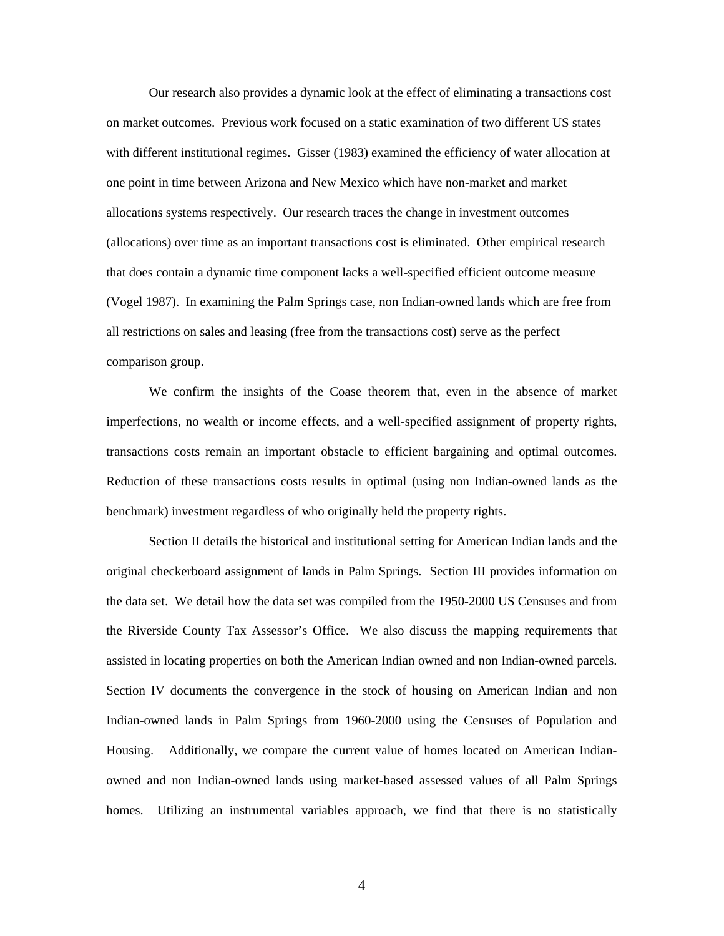Our research also provides a dynamic look at the effect of eliminating a transactions cost on market outcomes. Previous work focused on a static examination of two different US states with different institutional regimes. Gisser (1983) examined the efficiency of water allocation at one point in time between Arizona and New Mexico which have non-market and market allocations systems respectively. Our research traces the change in investment outcomes (allocations) over time as an important transactions cost is eliminated. Other empirical research that does contain a dynamic time component lacks a well-specified efficient outcome measure (Vogel 1987). In examining the Palm Springs case, non Indian-owned lands which are free from all restrictions on sales and leasing (free from the transactions cost) serve as the perfect comparison group.

We confirm the insights of the Coase theorem that, even in the absence of market imperfections, no wealth or income effects, and a well-specified assignment of property rights, transactions costs remain an important obstacle to efficient bargaining and optimal outcomes. Reduction of these transactions costs results in optimal (using non Indian-owned lands as the benchmark) investment regardless of who originally held the property rights.

Section II details the historical and institutional setting for American Indian lands and the original checkerboard assignment of lands in Palm Springs. Section III provides information on the data set. We detail how the data set was compiled from the 1950-2000 US Censuses and from the Riverside County Tax Assessor's Office. We also discuss the mapping requirements that assisted in locating properties on both the American Indian owned and non Indian-owned parcels. Section IV documents the convergence in the stock of housing on American Indian and non Indian-owned lands in Palm Springs from 1960-2000 using the Censuses of Population and Housing. Additionally, we compare the current value of homes located on American Indianowned and non Indian-owned lands using market-based assessed values of all Palm Springs homes. Utilizing an instrumental variables approach, we find that there is no statistically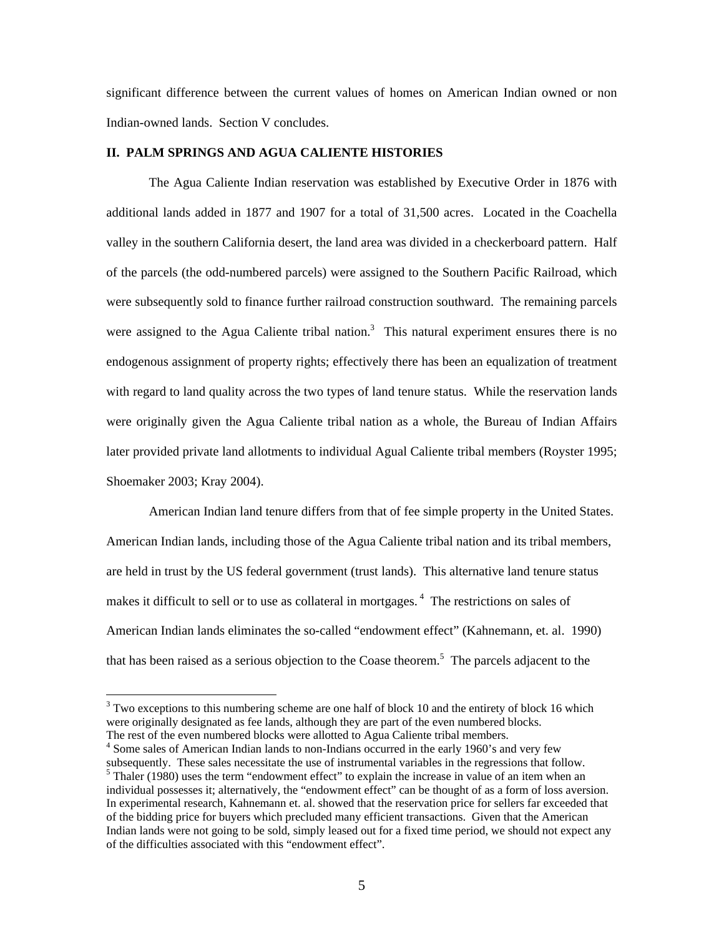significant difference between the current values of homes on American Indian owned or non Indian-owned lands. Section V concludes.

## **II. PALM SPRINGS AND AGUA CALIENTE HISTORIES**

The Agua Caliente Indian reservation was established by Executive Order in 1876 with additional lands added in 1877 and 1907 for a total of 31,500 acres. Located in the Coachella valley in the southern California desert, the land area was divided in a checkerboard pattern. Half of the parcels (the odd-numbered parcels) were assigned to the Southern Pacific Railroad, which were subsequently sold to finance further railroad construction southward. The remaining parcels were assigned to the Agua Caliente tribal nation.<sup>[3](#page-4-0)</sup> This natural experiment ensures there is no endogenous assignment of property rights; effectively there has been an equalization of treatment with regard to land quality across the two types of land tenure status. While the reservation lands were originally given the Agua Caliente tribal nation as a whole, the Bureau of Indian Affairs later provided private land allotments to individual Agual Caliente tribal members (Royster 1995; Shoemaker 2003; Kray 2004).

American Indian land tenure differs from that of fee simple property in the United States. American Indian lands, including those of the Agua Caliente tribal nation and its tribal members, are held in trust by the US federal government (trust lands). This alternative land tenure status makes it difficult to sell or to use as collateral in mortgages.<sup>4</sup> The restrictions on sales of American Indian lands eliminates the so-called "endowment effect" (Kahnemann, et. al. 1990) that has been raised as a serious objection to the Coase theorem. 5 The parcels adjacent to the

 $\overline{a}$ 

<span id="page-4-2"></span><span id="page-4-1"></span><sup>4</sup> Some sales of American Indian lands to non-Indians occurred in the early 1960's and very few subsequently. These sales necessitate the use of instrumental variables in the regressions that follow.  $5$  Thaler (1980) uses the term "endowment effect" to explain the increase in value of an item when an individual possesses it; alternatively, the "endowment effect" can be thought of as a form of loss aversion. In experimental research, Kahnemann et. al. showed that the reservation price for sellers far exceeded that of the bidding price for buyers which precluded many efficient transactions. Given that the American Indian lands were not going to be sold, simply leased out for a fixed time period, we should not expect any of the difficulties associated with this "endowment effect".

<span id="page-4-0"></span> $3$  Two exceptions to this numbering scheme are one half of block 10 and the entirety of block 16 which were originally designated as fee lands, although they are part of the even numbered blocks. The rest of the even numbered blocks were allotted to Agua Caliente tribal members.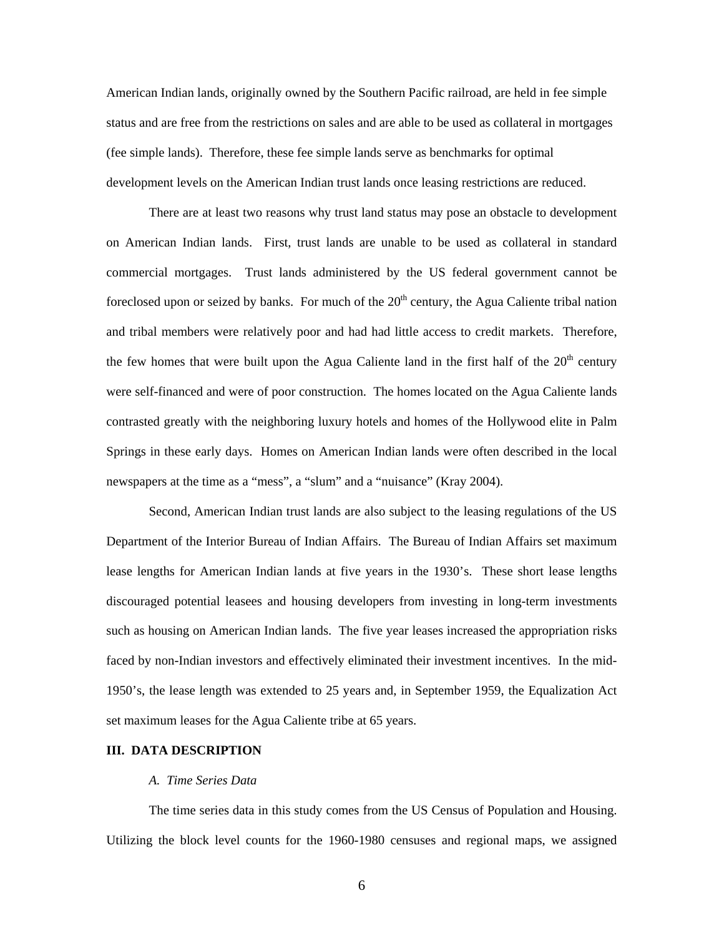American Indian lands, originally owned by the Southern Pacific railroad, are held in fee simple status and are free from the restrictions on sales and are able to be used as collateral in mortgages (fee simple lands). Therefore, these fee simple lands serve as benchmarks for optimal development levels on the American Indian trust lands once leasing restrictions are reduced.

There are at least two reasons why trust land status may pose an obstacle to development on American Indian lands. First, trust lands are unable to be used as collateral in standard commercial mortgages. Trust lands administered by the US federal government cannot be foreclosed upon or seized by banks. For much of the  $20<sup>th</sup>$  century, the Agua Caliente tribal nation and tribal members were relatively poor and had had little access to credit markets. Therefore, the few homes that were built upon the Agua Caliente land in the first half of the  $20<sup>th</sup>$  century were self-financed and were of poor construction. The homes located on the Agua Caliente lands contrasted greatly with the neighboring luxury hotels and homes of the Hollywood elite in Palm Springs in these early days. Homes on American Indian lands were often described in the local newspapers at the time as a "mess", a "slum" and a "nuisance" (Kray 2004).

Second, American Indian trust lands are also subject to the leasing regulations of the US Department of the Interior Bureau of Indian Affairs. The Bureau of Indian Affairs set maximum lease lengths for American Indian lands at five years in the 1930's. These short lease lengths discouraged potential leasees and housing developers from investing in long-term investments such as housing on American Indian lands. The five year leases increased the appropriation risks faced by non-Indian investors and effectively eliminated their investment incentives. In the mid-1950's, the lease length was extended to 25 years and, in September 1959, the Equalization Act set maximum leases for the Agua Caliente tribe at 65 years.

## **III. DATA DESCRIPTION**

#### *A. Time Series Data*

The time series data in this study comes from the US Census of Population and Housing. Utilizing the block level counts for the 1960-1980 censuses and regional maps, we assigned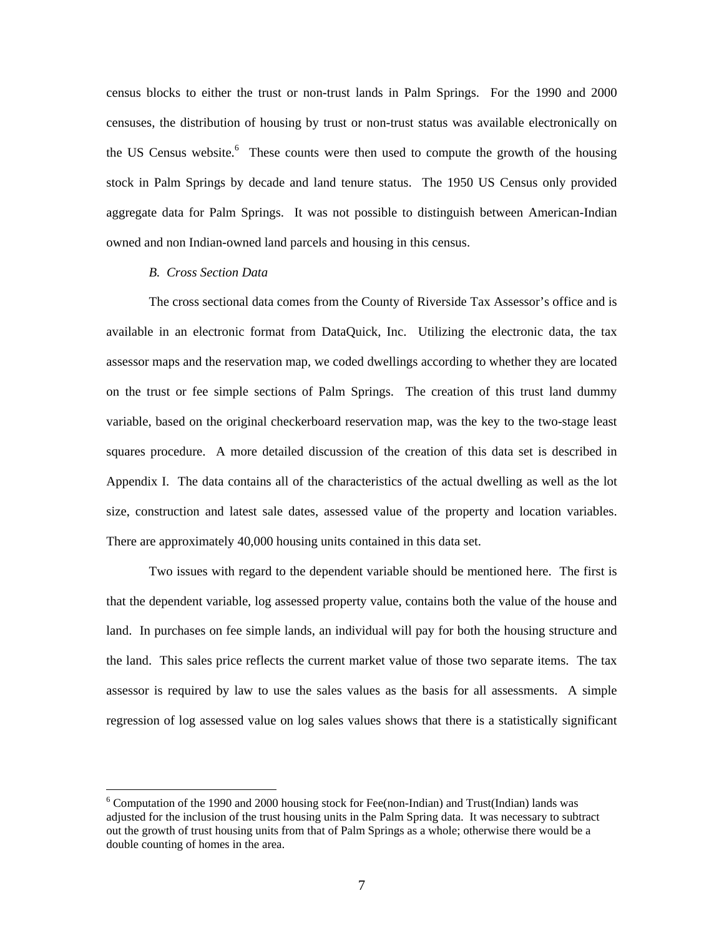census blocks to either the trust or non-trust lands in Palm Springs. For the 1990 and 2000 censuses, the distribution of housing by trust or non-trust status was available electronically on the US Census website.<sup>[6](#page-6-0)</sup> These counts were then used to compute the growth of the housing stock in Palm Springs by decade and land tenure status. The 1950 US Census only provided aggregate data for Palm Springs. It was not possible to distinguish between American-Indian owned and non Indian-owned land parcels and housing in this census.

## *B. Cross Section Data*

 $\overline{a}$ 

The cross sectional data comes from the County of Riverside Tax Assessor's office and is available in an electronic format from DataQuick, Inc. Utilizing the electronic data, the tax assessor maps and the reservation map, we coded dwellings according to whether they are located on the trust or fee simple sections of Palm Springs. The creation of this trust land dummy variable, based on the original checkerboard reservation map, was the key to the two-stage least squares procedure. A more detailed discussion of the creation of this data set is described in Appendix I. The data contains all of the characteristics of the actual dwelling as well as the lot size, construction and latest sale dates, assessed value of the property and location variables. There are approximately 40,000 housing units contained in this data set.

Two issues with regard to the dependent variable should be mentioned here. The first is that the dependent variable, log assessed property value, contains both the value of the house and land. In purchases on fee simple lands, an individual will pay for both the housing structure and the land. This sales price reflects the current market value of those two separate items. The tax assessor is required by law to use the sales values as the basis for all assessments. A simple regression of log assessed value on log sales values shows that there is a statistically significant

<span id="page-6-0"></span><sup>&</sup>lt;sup>6</sup> Computation of the 1990 and 2000 housing stock for Fee(non-Indian) and Trust(Indian) lands was adjusted for the inclusion of the trust housing units in the Palm Spring data. It was necessary to subtract out the growth of trust housing units from that of Palm Springs as a whole; otherwise there would be a double counting of homes in the area.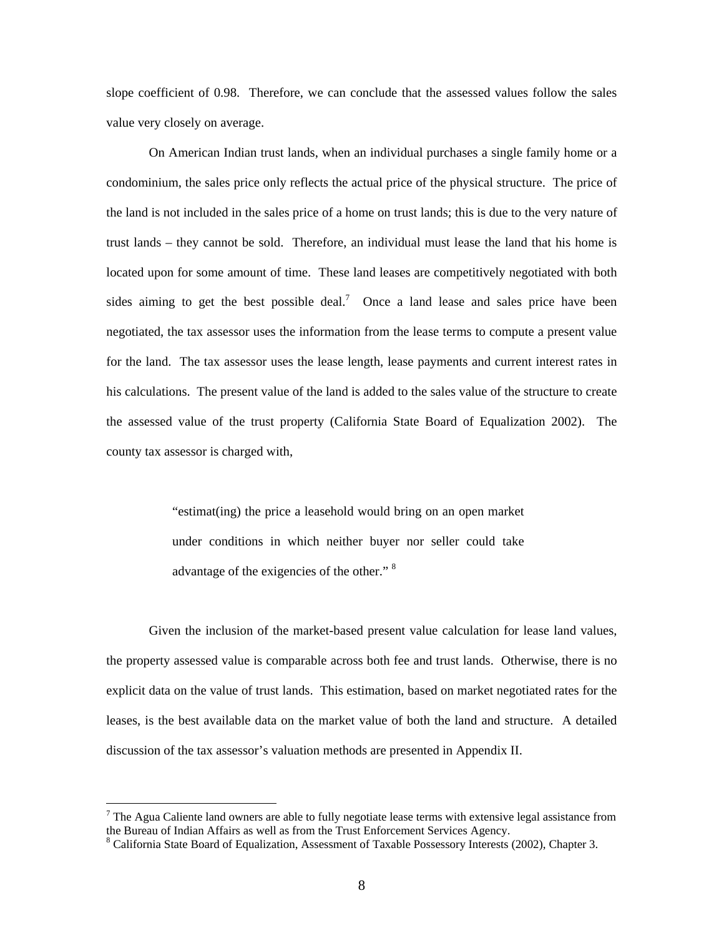slope coefficient of 0.98. Therefore, we can conclude that the assessed values follow the sales value very closely on average.

On American Indian trust lands, when an individual purchases a single family home or a condominium, the sales price only reflects the actual price of the physical structure. The price of the land is not included in the sales price of a home on trust lands; this is due to the very nature of trust lands – they cannot be sold. Therefore, an individual must lease the land that his home is located upon for some amount of time. These land leases are competitively negotiated with both sides aiming to get the best possible deal.<sup>[7](#page-7-0)</sup> Once a land lease and sales price have been negotiated, the tax assessor uses the information from the lease terms to compute a present value for the land. The tax assessor uses the lease length, lease payments and current interest rates in his calculations. The present value of the land is added to the sales value of the structure to create the assessed value of the trust property (California State Board of Equalization 2002). The county tax assessor is charged with,

> "estimat(ing) the price a leasehold would bring on an open market under conditions in which neither buyer nor seller could take advantage of the exigencies of the other."<sup>[8](#page-7-1)</sup>

Given the inclusion of the market-based present value calculation for lease land values, the property assessed value is comparable across both fee and trust lands. Otherwise, there is no explicit data on the value of trust lands. This estimation, based on market negotiated rates for the leases, is the best available data on the market value of both the land and structure. A detailed discussion of the tax assessor's valuation methods are presented in Appendix II.

 $\overline{a}$ 

<span id="page-7-0"></span> $<sup>7</sup>$  The Agua Caliente land owners are able to fully negotiate lease terms with extensive legal assistance from</sup> the Bureau of Indian Affairs as well as from the Trust Enforcement Services Agency.

<span id="page-7-1"></span><sup>&</sup>lt;sup>8</sup> California State Board of Equalization, Assessment of Taxable Possessory Interests (2002), Chapter 3.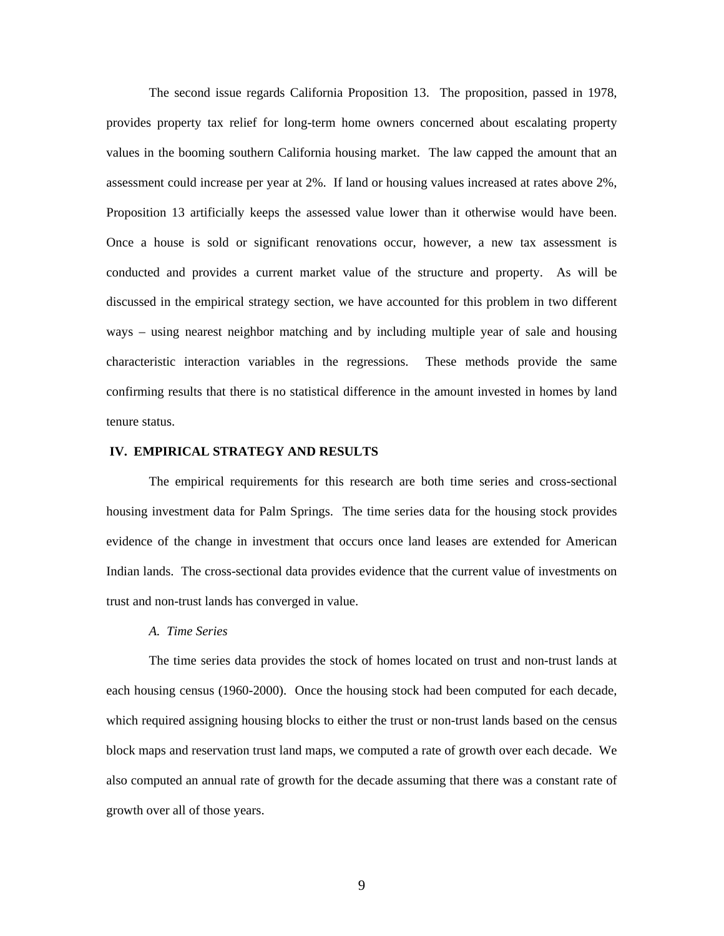The second issue regards California Proposition 13. The proposition, passed in 1978, provides property tax relief for long-term home owners concerned about escalating property values in the booming southern California housing market. The law capped the amount that an assessment could increase per year at 2%. If land or housing values increased at rates above 2%, Proposition 13 artificially keeps the assessed value lower than it otherwise would have been. Once a house is sold or significant renovations occur, however, a new tax assessment is conducted and provides a current market value of the structure and property. As will be discussed in the empirical strategy section, we have accounted for this problem in two different ways – using nearest neighbor matching and by including multiple year of sale and housing characteristic interaction variables in the regressions. These methods provide the same confirming results that there is no statistical difference in the amount invested in homes by land tenure status.

#### **IV. EMPIRICAL STRATEGY AND RESULTS**

The empirical requirements for this research are both time series and cross-sectional housing investment data for Palm Springs. The time series data for the housing stock provides evidence of the change in investment that occurs once land leases are extended for American Indian lands. The cross-sectional data provides evidence that the current value of investments on trust and non-trust lands has converged in value.

## *A. Time Series*

The time series data provides the stock of homes located on trust and non-trust lands at each housing census (1960-2000). Once the housing stock had been computed for each decade, which required assigning housing blocks to either the trust or non-trust lands based on the census block maps and reservation trust land maps, we computed a rate of growth over each decade. We also computed an annual rate of growth for the decade assuming that there was a constant rate of growth over all of those years.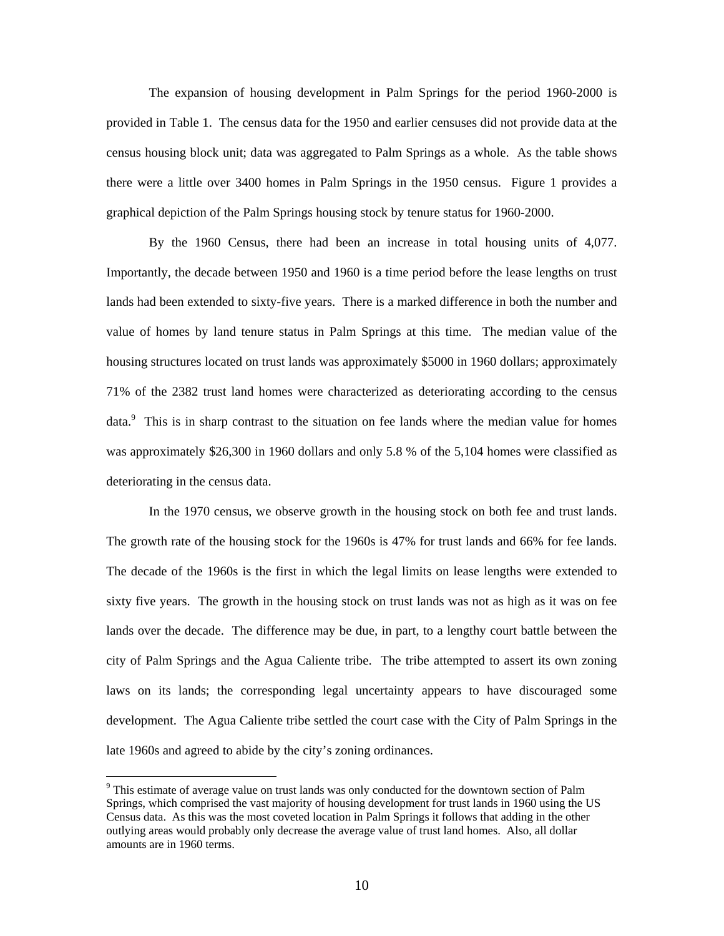The expansion of housing development in Palm Springs for the period 1960-2000 is provided in Table 1. The census data for the 1950 and earlier censuses did not provide data at the census housing block unit; data was aggregated to Palm Springs as a whole. As the table shows there were a little over 3400 homes in Palm Springs in the 1950 census. Figure 1 provides a graphical depiction of the Palm Springs housing stock by tenure status for 1960-2000.

By the 1960 Census, there had been an increase in total housing units of 4,077. Importantly, the decade between 1950 and 1960 is a time period before the lease lengths on trust lands had been extended to sixty-five years. There is a marked difference in both the number and value of homes by land tenure status in Palm Springs at this time. The median value of the housing structures located on trust lands was approximately \$5000 in 1960 dollars; approximately 71% of the 2382 trust land homes were characterized as deteriorating according to the census data.<sup>[9](#page-9-0)</sup> This is in sharp contrast to the situation on fee lands where the median value for homes was approximately \$26,300 in 1960 dollars and only 5.8 % of the 5,104 homes were classified as deteriorating in the census data.

In the 1970 census, we observe growth in the housing stock on both fee and trust lands. The growth rate of the housing stock for the 1960s is 47% for trust lands and 66% for fee lands. The decade of the 1960s is the first in which the legal limits on lease lengths were extended to sixty five years. The growth in the housing stock on trust lands was not as high as it was on fee lands over the decade. The difference may be due, in part, to a lengthy court battle between the city of Palm Springs and the Agua Caliente tribe. The tribe attempted to assert its own zoning laws on its lands; the corresponding legal uncertainty appears to have discouraged some development. The Agua Caliente tribe settled the court case with the City of Palm Springs in the late 1960s and agreed to abide by the city's zoning ordinances.

 $\overline{a}$ 

<span id="page-9-0"></span><sup>&</sup>lt;sup>9</sup> This estimate of average value on trust lands was only conducted for the downtown section of Palm Springs, which comprised the vast majority of housing development for trust lands in 1960 using the US Census data. As this was the most coveted location in Palm Springs it follows that adding in the other outlying areas would probably only decrease the average value of trust land homes. Also, all dollar amounts are in 1960 terms.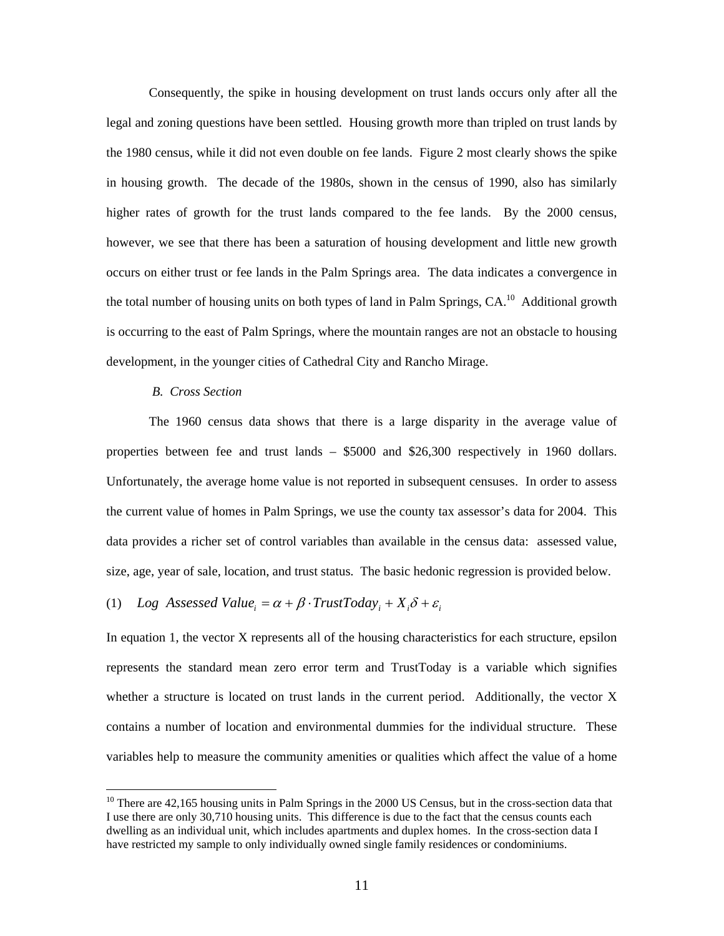Consequently, the spike in housing development on trust lands occurs only after all the legal and zoning questions have been settled. Housing growth more than tripled on trust lands by the 1980 census, while it did not even double on fee lands. Figure 2 most clearly shows the spike in housing growth. The decade of the 1980s, shown in the census of 1990, also has similarly higher rates of growth for the trust lands compared to the fee lands. By the 2000 census, however, we see that there has been a saturation of housing development and little new growth occurs on either trust or fee lands in the Palm Springs area. The data indicates a convergence in the total number of housing units on both types of land in Palm Springs, CA.<sup>10</sup> Additional growth is occurring to the east of Palm Springs, where the mountain ranges are not an obstacle to housing development, in the younger cities of Cathedral City and Rancho Mirage.

## *B. Cross Section*

 $\overline{a}$ 

The 1960 census data shows that there is a large disparity in the average value of properties between fee and trust lands – \$5000 and \$26,300 respectively in 1960 dollars. Unfortunately, the average home value is not reported in subsequent censuses. In order to assess the current value of homes in Palm Springs, we use the county tax assessor's data for 2004. This data provides a richer set of control variables than available in the census data: assessed value, size, age, year of sale, location, and trust status. The basic hedonic regression is provided below.

## (1) *Log* Assessed Value<sub>i</sub> =  $\alpha + \beta \cdot TrustToday_i + X_i\delta + \varepsilon_i$

In equation 1, the vector X represents all of the housing characteristics for each structure, epsilon represents the standard mean zero error term and TrustToday is a variable which signifies whether a structure is located on trust lands in the current period. Additionally, the vector X contains a number of location and environmental dummies for the individual structure. These variables help to measure the community amenities or qualities which affect the value of a home

<span id="page-10-0"></span> $10$  There are 42,165 housing units in Palm Springs in the 2000 US Census, but in the cross-section data that I use there are only 30,710 housing units. This difference is due to the fact that the census counts each dwelling as an individual unit, which includes apartments and duplex homes. In the cross-section data I have restricted my sample to only individually owned single family residences or condominiums.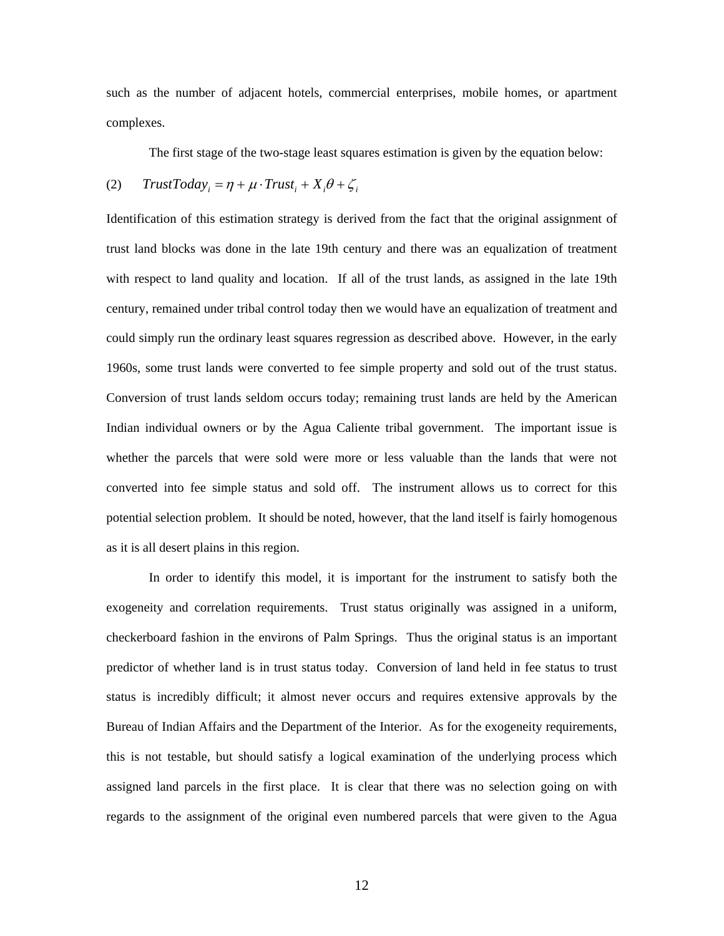such as the number of adjacent hotels, commercial enterprises, mobile homes, or apartment complexes.

The first stage of the two-stage least squares estimation is given by the equation below:

## (2)  $TrustToday_i = \eta + \mu \cdot Trust_i + X_i\theta + \zeta_i$

Identification of this estimation strategy is derived from the fact that the original assignment of trust land blocks was done in the late 19th century and there was an equalization of treatment with respect to land quality and location. If all of the trust lands, as assigned in the late 19th century, remained under tribal control today then we would have an equalization of treatment and could simply run the ordinary least squares regression as described above. However, in the early 1960s, some trust lands were converted to fee simple property and sold out of the trust status. Conversion of trust lands seldom occurs today; remaining trust lands are held by the American Indian individual owners or by the Agua Caliente tribal government. The important issue is whether the parcels that were sold were more or less valuable than the lands that were not converted into fee simple status and sold off. The instrument allows us to correct for this potential selection problem. It should be noted, however, that the land itself is fairly homogenous as it is all desert plains in this region.

In order to identify this model, it is important for the instrument to satisfy both the exogeneity and correlation requirements. Trust status originally was assigned in a uniform, checkerboard fashion in the environs of Palm Springs. Thus the original status is an important predictor of whether land is in trust status today. Conversion of land held in fee status to trust status is incredibly difficult; it almost never occurs and requires extensive approvals by the Bureau of Indian Affairs and the Department of the Interior. As for the exogeneity requirements, this is not testable, but should satisfy a logical examination of the underlying process which assigned land parcels in the first place. It is clear that there was no selection going on with regards to the assignment of the original even numbered parcels that were given to the Agua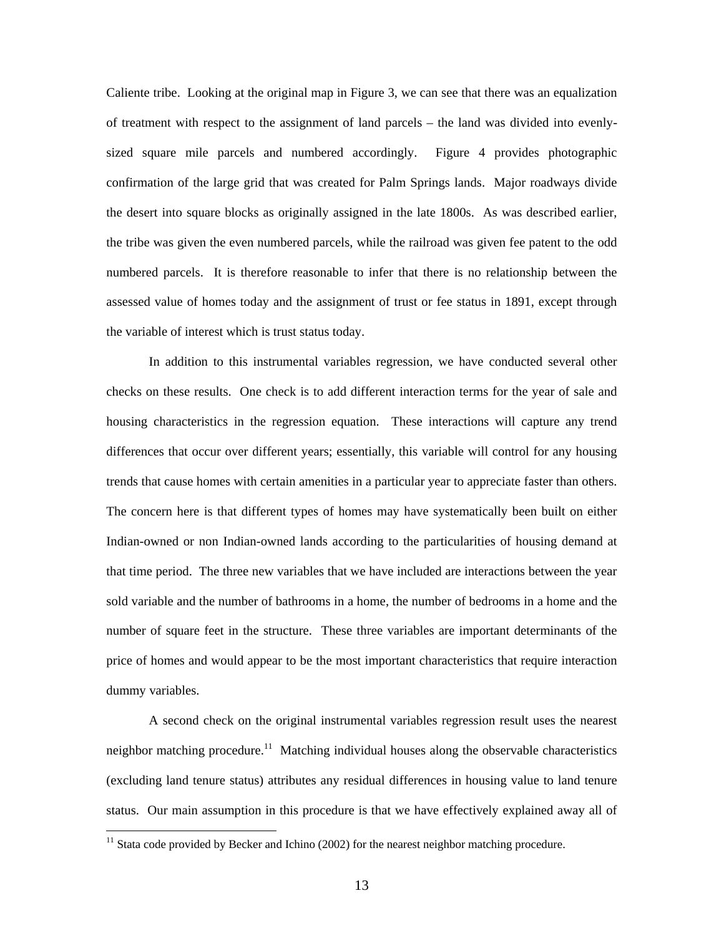Caliente tribe. Looking at the original map in Figure 3, we can see that there was an equalization of treatment with respect to the assignment of land parcels – the land was divided into evenlysized square mile parcels and numbered accordingly. Figure 4 provides photographic confirmation of the large grid that was created for Palm Springs lands. Major roadways divide the desert into square blocks as originally assigned in the late 1800s. As was described earlier, the tribe was given the even numbered parcels, while the railroad was given fee patent to the odd numbered parcels. It is therefore reasonable to infer that there is no relationship between the assessed value of homes today and the assignment of trust or fee status in 1891, except through the variable of interest which is trust status today.

In addition to this instrumental variables regression, we have conducted several other checks on these results. One check is to add different interaction terms for the year of sale and housing characteristics in the regression equation. These interactions will capture any trend differences that occur over different years; essentially, this variable will control for any housing trends that cause homes with certain amenities in a particular year to appreciate faster than others. The concern here is that different types of homes may have systematically been built on either Indian-owned or non Indian-owned lands according to the particularities of housing demand at that time period. The three new variables that we have included are interactions between the year sold variable and the number of bathrooms in a home, the number of bedrooms in a home and the number of square feet in the structure. These three variables are important determinants of the price of homes and would appear to be the most important characteristics that require interaction dummy variables.

A second check on the original instrumental variables regression result uses the nearest neighbor matching procedure.<sup>11</sup> Matching individual houses along the observable characteristics (excluding land tenure status) attributes any residual differences in housing value to land tenure status. Our main assumption in this procedure is that we have effectively explained away all of

 $\overline{a}$ 

<span id="page-12-0"></span> $11$  Stata code provided by Becker and Ichino (2002) for the nearest neighbor matching procedure.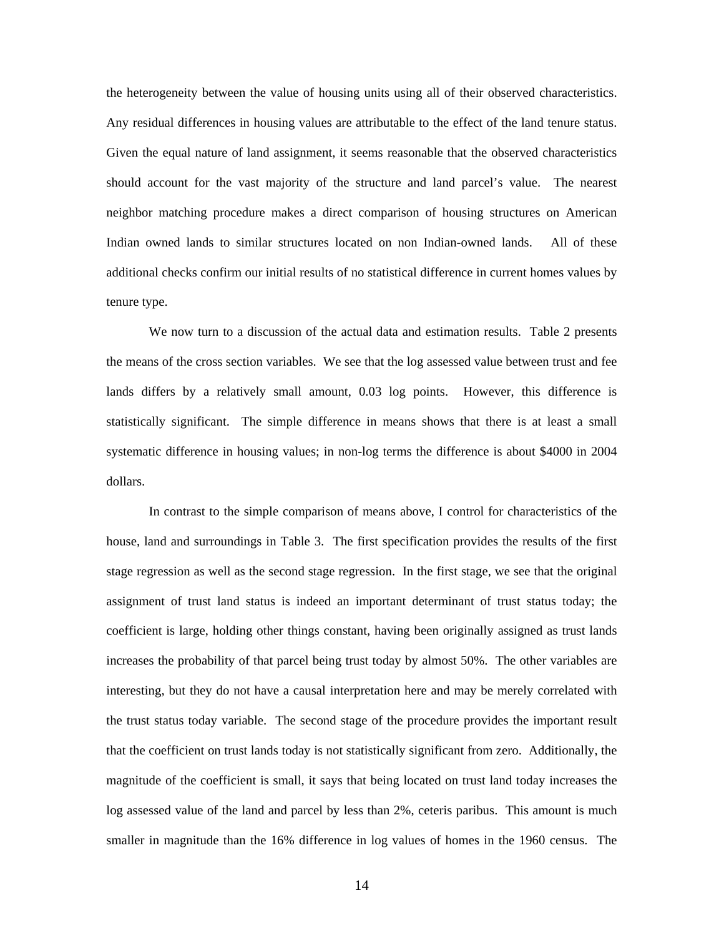the heterogeneity between the value of housing units using all of their observed characteristics. Any residual differences in housing values are attributable to the effect of the land tenure status. Given the equal nature of land assignment, it seems reasonable that the observed characteristics should account for the vast majority of the structure and land parcel's value. The nearest neighbor matching procedure makes a direct comparison of housing structures on American Indian owned lands to similar structures located on non Indian-owned lands. All of these additional checks confirm our initial results of no statistical difference in current homes values by tenure type.

We now turn to a discussion of the actual data and estimation results. Table 2 presents the means of the cross section variables. We see that the log assessed value between trust and fee lands differs by a relatively small amount, 0.03 log points. However, this difference is statistically significant. The simple difference in means shows that there is at least a small systematic difference in housing values; in non-log terms the difference is about \$4000 in 2004 dollars.

In contrast to the simple comparison of means above, I control for characteristics of the house, land and surroundings in Table 3. The first specification provides the results of the first stage regression as well as the second stage regression. In the first stage, we see that the original assignment of trust land status is indeed an important determinant of trust status today; the coefficient is large, holding other things constant, having been originally assigned as trust lands increases the probability of that parcel being trust today by almost 50%. The other variables are interesting, but they do not have a causal interpretation here and may be merely correlated with the trust status today variable. The second stage of the procedure provides the important result that the coefficient on trust lands today is not statistically significant from zero. Additionally, the magnitude of the coefficient is small, it says that being located on trust land today increases the log assessed value of the land and parcel by less than 2%, ceteris paribus. This amount is much smaller in magnitude than the 16% difference in log values of homes in the 1960 census. The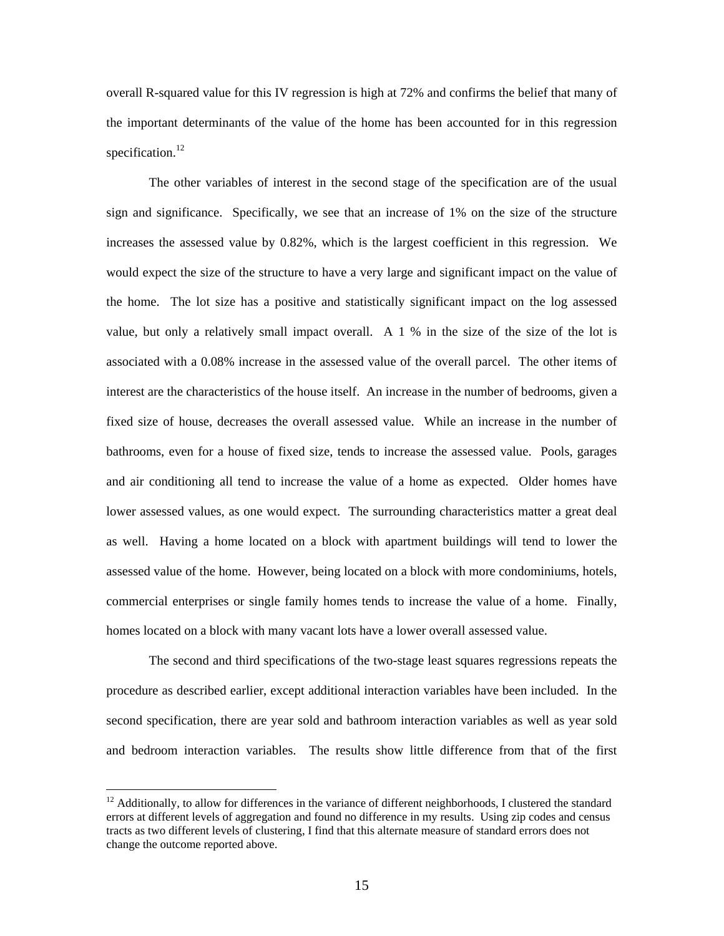overall R-squared value for this IV regression is high at 72% and confirms the belief that many of the important determinants of the value of the home has been accounted for in this regression specification. $^{12}$ 

The other variables of interest in the second stage of the specification are of the usual sign and significance. Specifically, we see that an increase of 1% on the size of the structure increases the assessed value by 0.82%, which is the largest coefficient in this regression. We would expect the size of the structure to have a very large and significant impact on the value of the home. The lot size has a positive and statistically significant impact on the log assessed value, but only a relatively small impact overall. A 1 % in the size of the size of the lot is associated with a 0.08% increase in the assessed value of the overall parcel. The other items of interest are the characteristics of the house itself. An increase in the number of bedrooms, given a fixed size of house, decreases the overall assessed value. While an increase in the number of bathrooms, even for a house of fixed size, tends to increase the assessed value. Pools, garages and air conditioning all tend to increase the value of a home as expected. Older homes have lower assessed values, as one would expect. The surrounding characteristics matter a great deal as well. Having a home located on a block with apartment buildings will tend to lower the assessed value of the home. However, being located on a block with more condominiums, hotels, commercial enterprises or single family homes tends to increase the value of a home. Finally, homes located on a block with many vacant lots have a lower overall assessed value.

The second and third specifications of the two-stage least squares regressions repeats the procedure as described earlier, except additional interaction variables have been included. In the second specification, there are year sold and bathroom interaction variables as well as year sold and bedroom interaction variables. The results show little difference from that of the first

 $\overline{a}$ 

<span id="page-14-0"></span><sup>&</sup>lt;sup>12</sup> Additionally, to allow for differences in the variance of different neighborhoods, I clustered the standard errors at different levels of aggregation and found no difference in my results. Using zip codes and census tracts as two different levels of clustering, I find that this alternate measure of standard errors does not change the outcome reported above.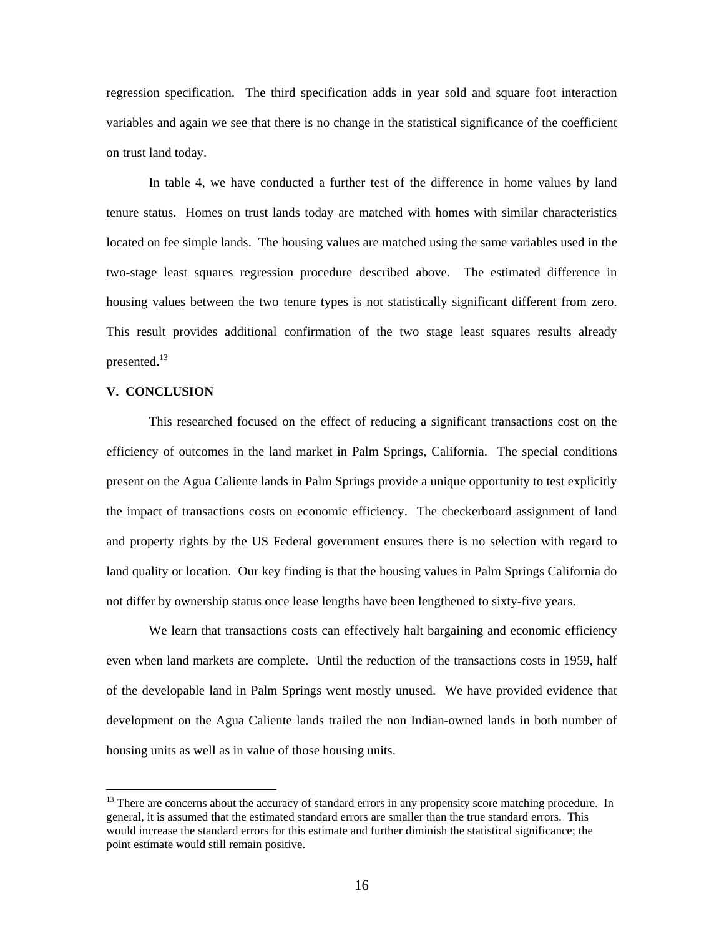regression specification. The third specification adds in year sold and square foot interaction variables and again we see that there is no change in the statistical significance of the coefficient on trust land today.

In table 4, we have conducted a further test of the difference in home values by land tenure status. Homes on trust lands today are matched with homes with similar characteristics located on fee simple lands. The housing values are matched using the same variables used in the two-stage least squares regression procedure described above. The estimated difference in housing values between the two tenure types is not statistically significant different from zero. This result provides additional confirmation of the two stage least squares results already presented.<sup>[13](#page-15-0)</sup>

### **V. CONCLUSION**

 $\overline{a}$ 

This researched focused on the effect of reducing a significant transactions cost on the efficiency of outcomes in the land market in Palm Springs, California. The special conditions present on the Agua Caliente lands in Palm Springs provide a unique opportunity to test explicitly the impact of transactions costs on economic efficiency. The checkerboard assignment of land and property rights by the US Federal government ensures there is no selection with regard to land quality or location. Our key finding is that the housing values in Palm Springs California do not differ by ownership status once lease lengths have been lengthened to sixty-five years.

We learn that transactions costs can effectively halt bargaining and economic efficiency even when land markets are complete. Until the reduction of the transactions costs in 1959, half of the developable land in Palm Springs went mostly unused. We have provided evidence that development on the Agua Caliente lands trailed the non Indian-owned lands in both number of housing units as well as in value of those housing units.

<span id="page-15-0"></span><sup>&</sup>lt;sup>13</sup> There are concerns about the accuracy of standard errors in any propensity score matching procedure. In general, it is assumed that the estimated standard errors are smaller than the true standard errors. This would increase the standard errors for this estimate and further diminish the statistical significance; the point estimate would still remain positive.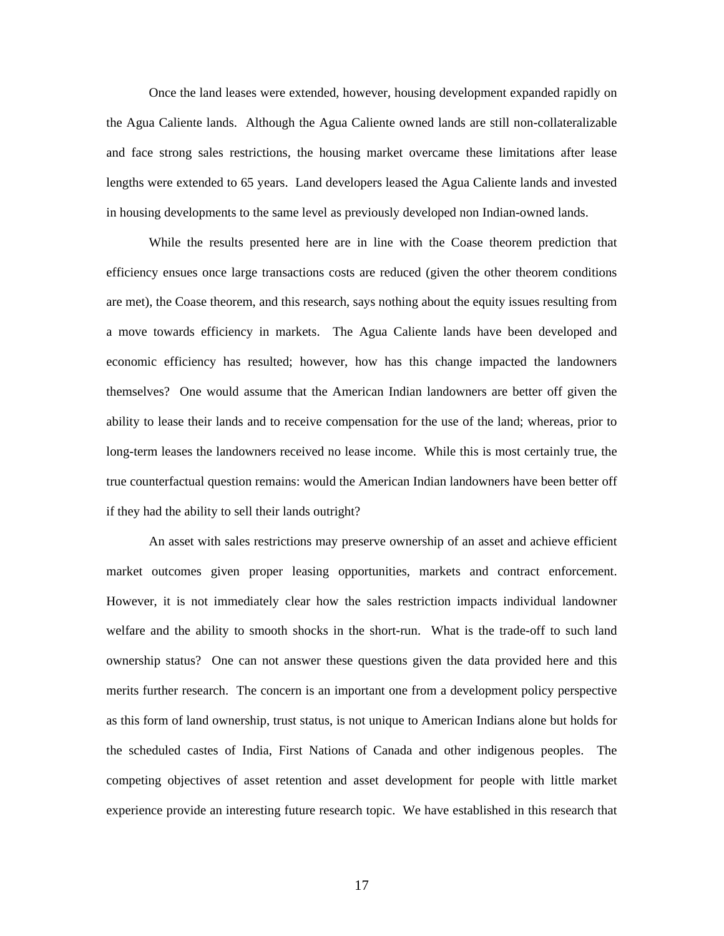Once the land leases were extended, however, housing development expanded rapidly on the Agua Caliente lands. Although the Agua Caliente owned lands are still non-collateralizable and face strong sales restrictions, the housing market overcame these limitations after lease lengths were extended to 65 years. Land developers leased the Agua Caliente lands and invested in housing developments to the same level as previously developed non Indian-owned lands.

While the results presented here are in line with the Coase theorem prediction that efficiency ensues once large transactions costs are reduced (given the other theorem conditions are met), the Coase theorem, and this research, says nothing about the equity issues resulting from a move towards efficiency in markets. The Agua Caliente lands have been developed and economic efficiency has resulted; however, how has this change impacted the landowners themselves? One would assume that the American Indian landowners are better off given the ability to lease their lands and to receive compensation for the use of the land; whereas, prior to long-term leases the landowners received no lease income. While this is most certainly true, the true counterfactual question remains: would the American Indian landowners have been better off if they had the ability to sell their lands outright?

An asset with sales restrictions may preserve ownership of an asset and achieve efficient market outcomes given proper leasing opportunities, markets and contract enforcement. However, it is not immediately clear how the sales restriction impacts individual landowner welfare and the ability to smooth shocks in the short-run. What is the trade-off to such land ownership status? One can not answer these questions given the data provided here and this merits further research. The concern is an important one from a development policy perspective as this form of land ownership, trust status, is not unique to American Indians alone but holds for the scheduled castes of India, First Nations of Canada and other indigenous peoples. The competing objectives of asset retention and asset development for people with little market experience provide an interesting future research topic. We have established in this research that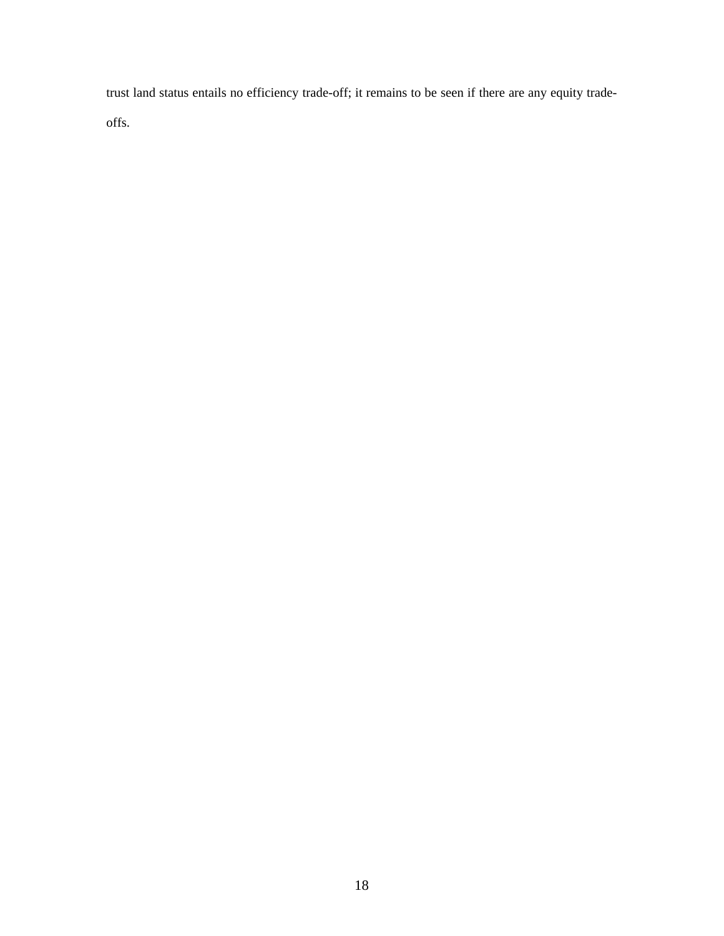trust land status entails no efficiency trade-off; it remains to be seen if there are any equity tradeoffs.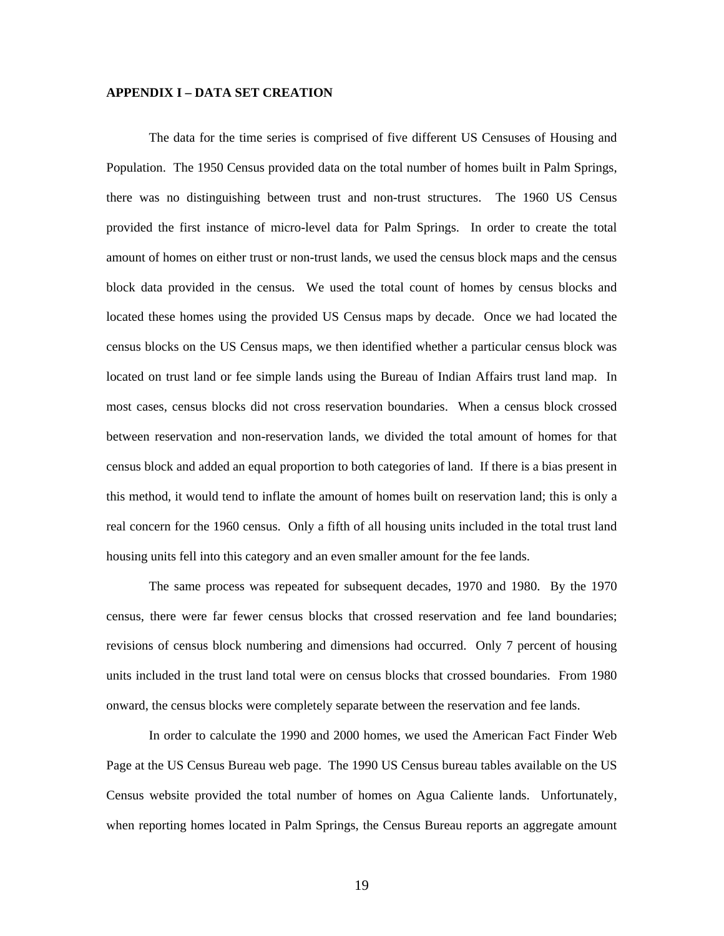#### **APPENDIX I – DATA SET CREATION**

The data for the time series is comprised of five different US Censuses of Housing and Population. The 1950 Census provided data on the total number of homes built in Palm Springs, there was no distinguishing between trust and non-trust structures. The 1960 US Census provided the first instance of micro-level data for Palm Springs. In order to create the total amount of homes on either trust or non-trust lands, we used the census block maps and the census block data provided in the census. We used the total count of homes by census blocks and located these homes using the provided US Census maps by decade. Once we had located the census blocks on the US Census maps, we then identified whether a particular census block was located on trust land or fee simple lands using the Bureau of Indian Affairs trust land map. In most cases, census blocks did not cross reservation boundaries. When a census block crossed between reservation and non-reservation lands, we divided the total amount of homes for that census block and added an equal proportion to both categories of land. If there is a bias present in this method, it would tend to inflate the amount of homes built on reservation land; this is only a real concern for the 1960 census. Only a fifth of all housing units included in the total trust land housing units fell into this category and an even smaller amount for the fee lands.

The same process was repeated for subsequent decades, 1970 and 1980. By the 1970 census, there were far fewer census blocks that crossed reservation and fee land boundaries; revisions of census block numbering and dimensions had occurred. Only 7 percent of housing units included in the trust land total were on census blocks that crossed boundaries. From 1980 onward, the census blocks were completely separate between the reservation and fee lands.

In order to calculate the 1990 and 2000 homes, we used the American Fact Finder Web Page at the US Census Bureau web page. The 1990 US Census bureau tables available on the US Census website provided the total number of homes on Agua Caliente lands. Unfortunately, when reporting homes located in Palm Springs, the Census Bureau reports an aggregate amount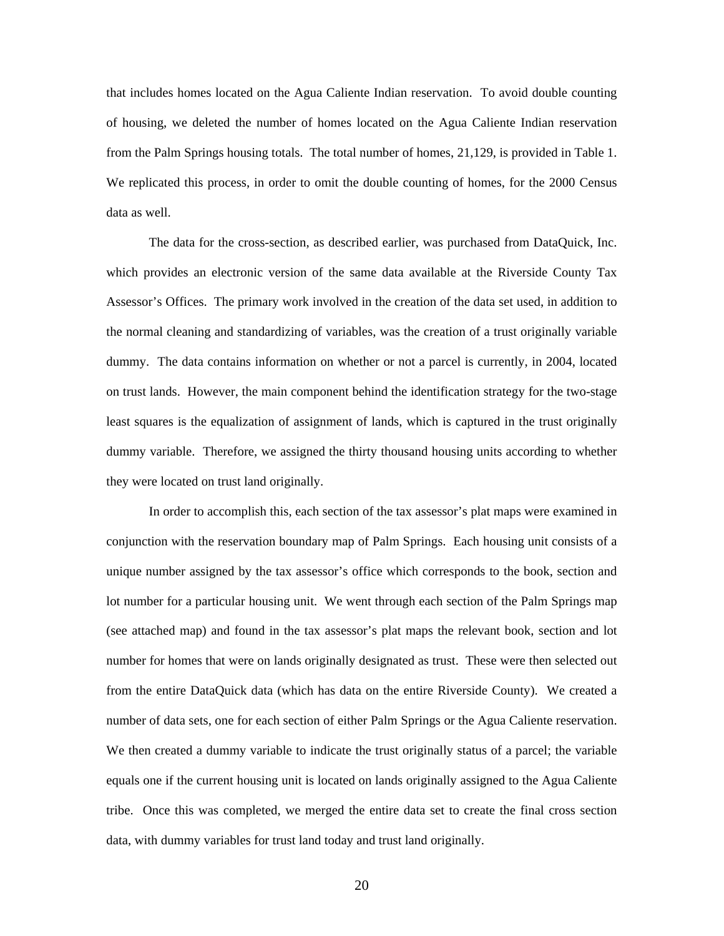that includes homes located on the Agua Caliente Indian reservation. To avoid double counting of housing, we deleted the number of homes located on the Agua Caliente Indian reservation from the Palm Springs housing totals. The total number of homes, 21,129, is provided in Table 1. We replicated this process, in order to omit the double counting of homes, for the 2000 Census data as well.

The data for the cross-section, as described earlier, was purchased from DataQuick, Inc. which provides an electronic version of the same data available at the Riverside County Tax Assessor's Offices. The primary work involved in the creation of the data set used, in addition to the normal cleaning and standardizing of variables, was the creation of a trust originally variable dummy. The data contains information on whether or not a parcel is currently, in 2004, located on trust lands. However, the main component behind the identification strategy for the two-stage least squares is the equalization of assignment of lands, which is captured in the trust originally dummy variable. Therefore, we assigned the thirty thousand housing units according to whether they were located on trust land originally.

In order to accomplish this, each section of the tax assessor's plat maps were examined in conjunction with the reservation boundary map of Palm Springs. Each housing unit consists of a unique number assigned by the tax assessor's office which corresponds to the book, section and lot number for a particular housing unit. We went through each section of the Palm Springs map (see attached map) and found in the tax assessor's plat maps the relevant book, section and lot number for homes that were on lands originally designated as trust. These were then selected out from the entire DataQuick data (which has data on the entire Riverside County). We created a number of data sets, one for each section of either Palm Springs or the Agua Caliente reservation. We then created a dummy variable to indicate the trust originally status of a parcel; the variable equals one if the current housing unit is located on lands originally assigned to the Agua Caliente tribe. Once this was completed, we merged the entire data set to create the final cross section data, with dummy variables for trust land today and trust land originally.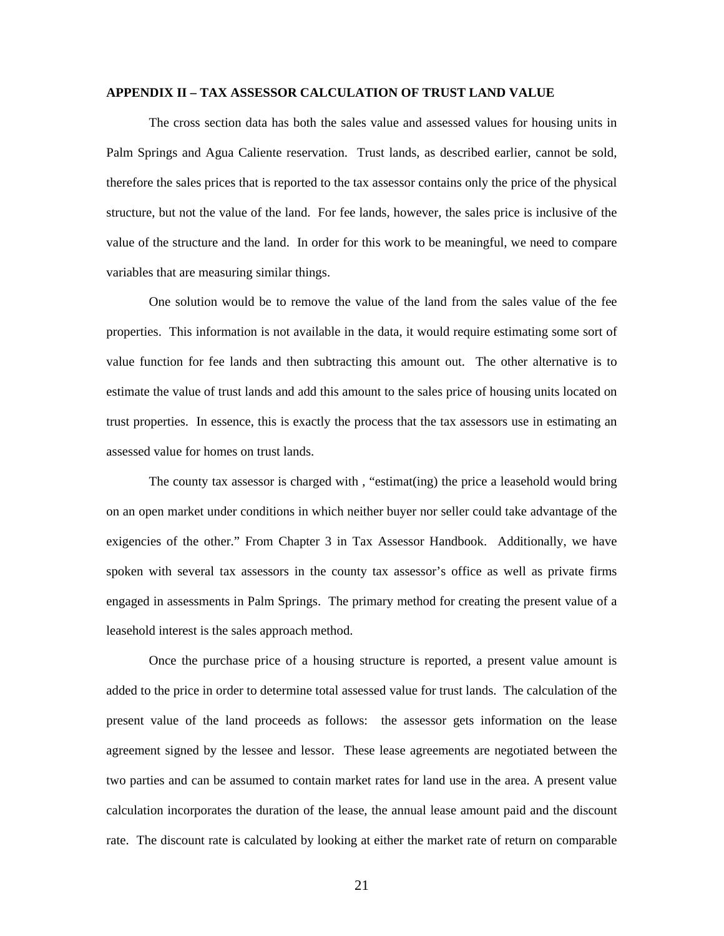### **APPENDIX II – TAX ASSESSOR CALCULATION OF TRUST LAND VALUE**

The cross section data has both the sales value and assessed values for housing units in Palm Springs and Agua Caliente reservation. Trust lands, as described earlier, cannot be sold, therefore the sales prices that is reported to the tax assessor contains only the price of the physical structure, but not the value of the land. For fee lands, however, the sales price is inclusive of the value of the structure and the land. In order for this work to be meaningful, we need to compare variables that are measuring similar things.

One solution would be to remove the value of the land from the sales value of the fee properties. This information is not available in the data, it would require estimating some sort of value function for fee lands and then subtracting this amount out. The other alternative is to estimate the value of trust lands and add this amount to the sales price of housing units located on trust properties. In essence, this is exactly the process that the tax assessors use in estimating an assessed value for homes on trust lands.

The county tax assessor is charged with , "estimat(ing) the price a leasehold would bring on an open market under conditions in which neither buyer nor seller could take advantage of the exigencies of the other." From Chapter 3 in Tax Assessor Handbook. Additionally, we have spoken with several tax assessors in the county tax assessor's office as well as private firms engaged in assessments in Palm Springs. The primary method for creating the present value of a leasehold interest is the sales approach method.

Once the purchase price of a housing structure is reported, a present value amount is added to the price in order to determine total assessed value for trust lands. The calculation of the present value of the land proceeds as follows: the assessor gets information on the lease agreement signed by the lessee and lessor. These lease agreements are negotiated between the two parties and can be assumed to contain market rates for land use in the area. A present value calculation incorporates the duration of the lease, the annual lease amount paid and the discount rate. The discount rate is calculated by looking at either the market rate of return on comparable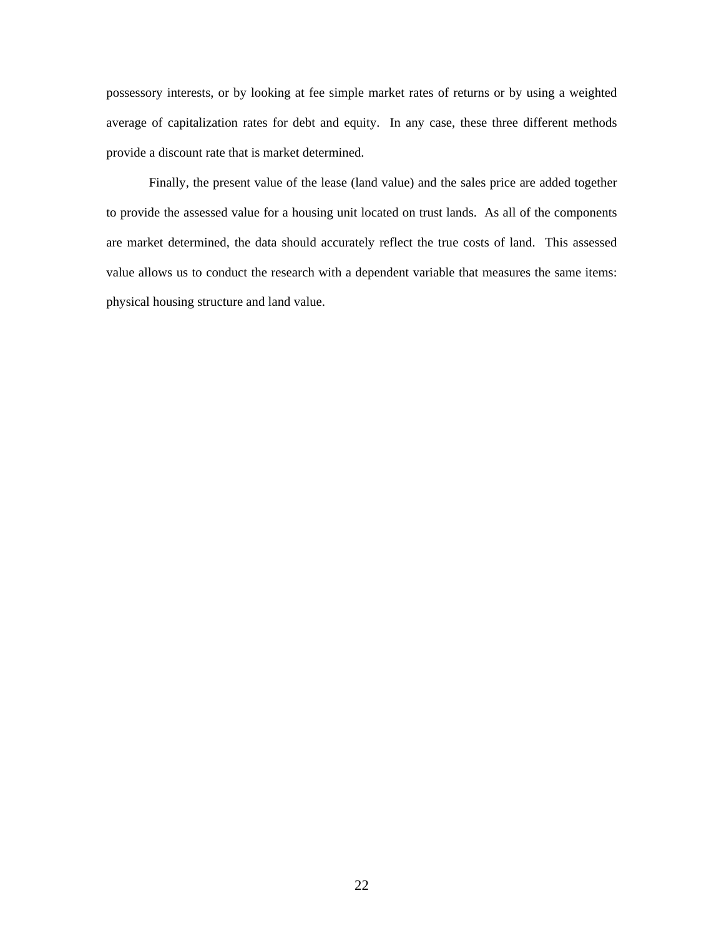possessory interests, or by looking at fee simple market rates of returns or by using a weighted average of capitalization rates for debt and equity. In any case, these three different methods provide a discount rate that is market determined.

Finally, the present value of the lease (land value) and the sales price are added together to provide the assessed value for a housing unit located on trust lands. As all of the components are market determined, the data should accurately reflect the true costs of land. This assessed value allows us to conduct the research with a dependent variable that measures the same items: physical housing structure and land value.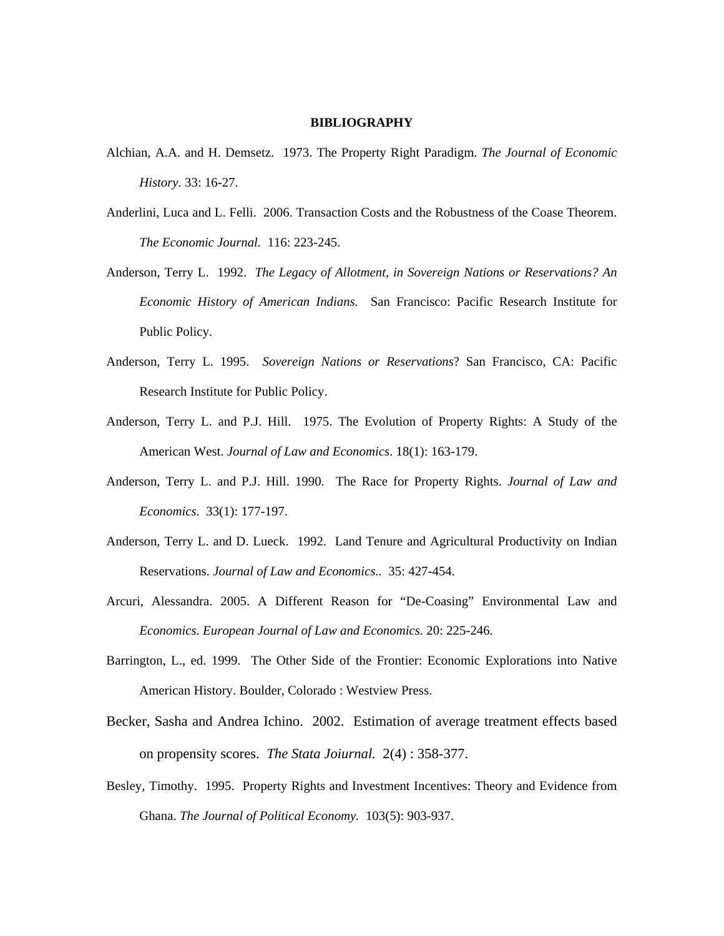#### **BIBLIOGRAPHY**

- Alchian, A.A. and H. Demsetz. 1973. The Property Right Paradigm. *The Journal of Economic History*. 33: 16-27.
- Anderlini, Luca and L. Felli. 2006. Transaction Costs and the Robustness of the Coase Theorem. *The Economic Journal.* 116: 223-245.
- Anderson, Terry L. 1992. *The Legacy of Allotment, in Sovereign Nations or Reservations? An Economic History of American Indians.* San Francisco: Pacific Research Institute for Public Policy.
- Anderson, Terry L. 1995. *Sovereign Nations or Reservations*? San Francisco, CA: Pacific Research Institute for Public Policy.
- Anderson, Terry L. and P.J. Hill. 1975. The Evolution of Property Rights: A Study of the American West. *Journal of Law and Economics*. 18(1): 163-179.
- Anderson, Terry L. and P.J. Hill. 1990. The Race for Property Rights. *Journal of Law and Economics*. 33(1): 177-197.
- Anderson, Terry L. and D. Lueck. 1992. Land Tenure and Agricultural Productivity on Indian Reservations. *Journal of Law and Economics..* 35: 427-454.
- Arcuri, Alessandra. 2005. A Different Reason for "De-Coasing" Environmental Law and *Economics. European Journal of Law and Economics.* 20: 225-246.
- Barrington, L., ed. 1999. The Other Side of the Frontier: Economic Explorations into Native American History. Boulder, Colorado : Westview Press.
- Becker, Sasha and Andrea Ichino. 2002. Estimation of average treatment effects based on propensity scores. *The Stata Joiurnal.* 2(4) : 358-377.
- Besley, Timothy. 1995. Property Rights and Investment Incentives: Theory and Evidence from Ghana. *The Journal of Political Economy.* 103(5): 903-937.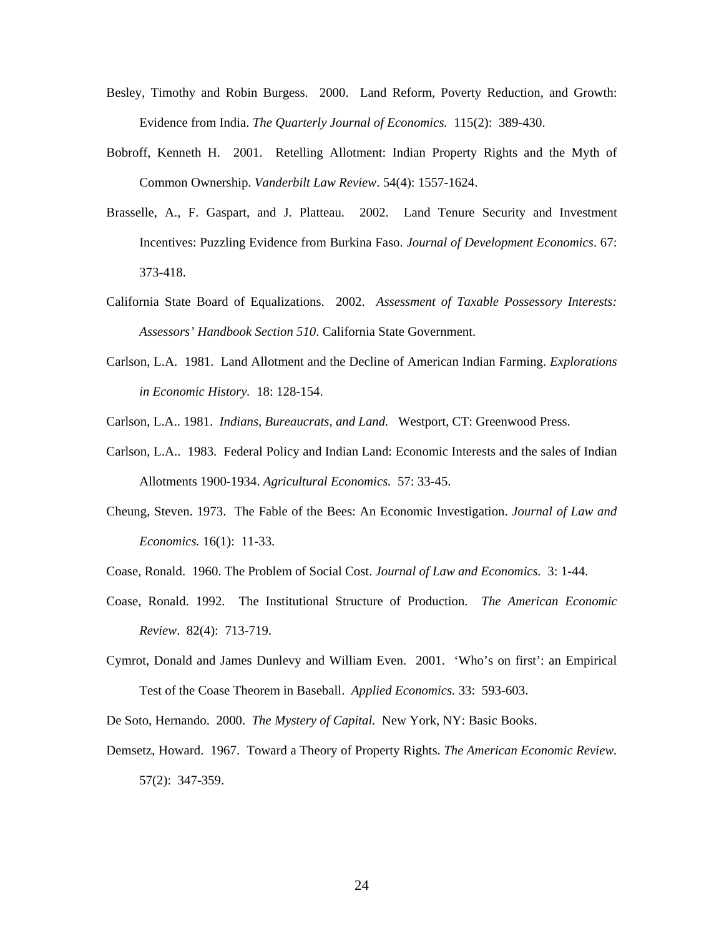- Besley, Timothy and Robin Burgess. 2000. Land Reform, Poverty Reduction, and Growth: Evidence from India. *The Quarterly Journal of Economics.* 115(2): 389-430.
- Bobroff, Kenneth H. 2001. Retelling Allotment: Indian Property Rights and the Myth of Common Ownership. *Vanderbilt Law Review*. 54(4): 1557-1624.
- Brasselle, A., F. Gaspart, and J. Platteau. 2002. Land Tenure Security and Investment Incentives: Puzzling Evidence from Burkina Faso. *Journal of Development Economics*. 67: 373-418.
- California State Board of Equalizations. 2002. *Assessment of Taxable Possessory Interests: Assessors' Handbook Section 510*. California State Government.
- Carlson, L.A. 1981. Land Allotment and the Decline of American Indian Farming. *Explorations in Economic History.* 18: 128-154.
- Carlson, L.A.. 1981. *Indians, Bureaucrats, and Land.* Westport, CT: Greenwood Press.
- Carlson, L.A.. 1983. Federal Policy and Indian Land: Economic Interests and the sales of Indian Allotments 1900-1934. *Agricultural Economics.* 57: 33-45.
- Cheung, Steven. 1973. The Fable of the Bees: An Economic Investigation. *Journal of Law and Economics.* 16(1): 11-33.
- Coase, Ronald. 1960. The Problem of Social Cost. *Journal of Law and Economics.* 3: 1-44.
- Coase, Ronald. 1992. The Institutional Structure of Production. *The American Economic Review*. 82(4): 713-719.
- Cymrot, Donald and James Dunlevy and William Even. 2001. 'Who's on first': an Empirical Test of the Coase Theorem in Baseball. *Applied Economics.* 33: 593-603.

De Soto, Hernando. 2000. *The Mystery of Capital.* New York, NY: Basic Books.

Demsetz, Howard. 1967. Toward a Theory of Property Rights. *The American Economic Review.*  57(2): 347-359.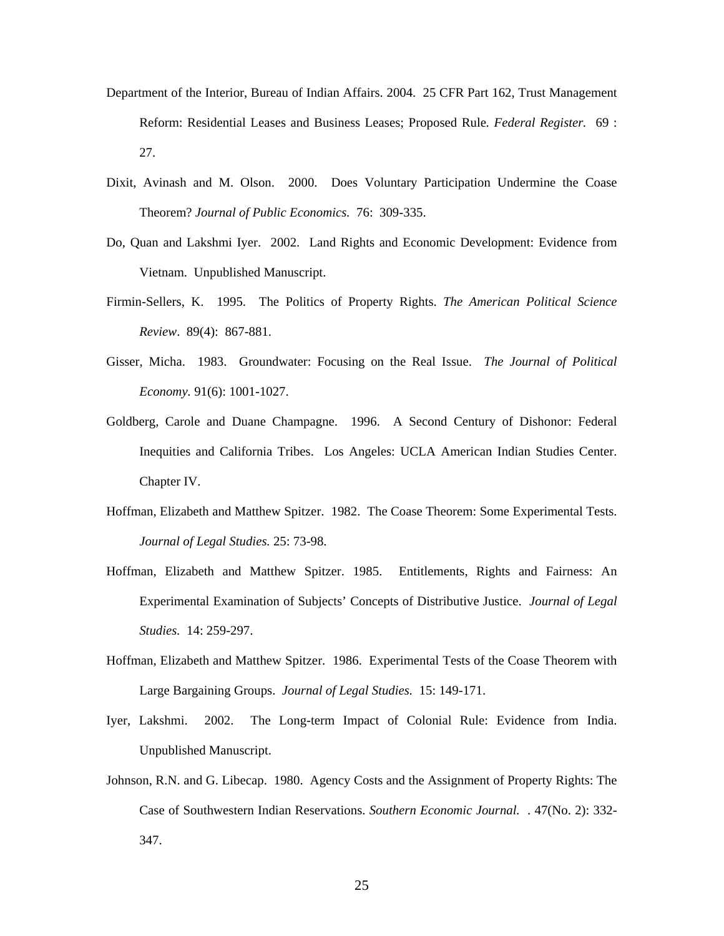- Department of the Interior, Bureau of Indian Affairs. 2004. 25 CFR Part 162, Trust Management Reform: Residential Leases and Business Leases; Proposed Rule*. Federal Register.* 69 : 27.
- Dixit, Avinash and M. Olson. 2000. Does Voluntary Participation Undermine the Coase Theorem? *Journal of Public Economics.* 76: 309-335.
- Do, Quan and Lakshmi Iyer. 2002. Land Rights and Economic Development: Evidence from Vietnam. Unpublished Manuscript.
- Firmin-Sellers, K. 1995. The Politics of Property Rights. *The American Political Science Review*. 89(4): 867-881.
- Gisser, Micha. 1983. Groundwater: Focusing on the Real Issue. *The Journal of Political Economy.* 91(6): 1001-1027.
- Goldberg, Carole and Duane Champagne. 1996. A Second Century of Dishonor: Federal Inequities and California Tribes. Los Angeles: UCLA American Indian Studies Center. Chapter IV.
- Hoffman, Elizabeth and Matthew Spitzer. 1982. The Coase Theorem: Some Experimental Tests. *Journal of Legal Studies.* 25: 73-98.
- Hoffman, Elizabeth and Matthew Spitzer. 1985. Entitlements, Rights and Fairness: An Experimental Examination of Subjects' Concepts of Distributive Justice. *Journal of Legal Studies.* 14: 259-297.
- Hoffman, Elizabeth and Matthew Spitzer. 1986. Experimental Tests of the Coase Theorem with Large Bargaining Groups. *Journal of Legal Studies.* 15: 149-171.
- Iyer, Lakshmi. 2002. The Long-term Impact of Colonial Rule: Evidence from India. Unpublished Manuscript.
- Johnson, R.N. and G. Libecap. 1980. Agency Costs and the Assignment of Property Rights: The Case of Southwestern Indian Reservations. *Southern Economic Journal.* . 47(No. 2): 332- 347.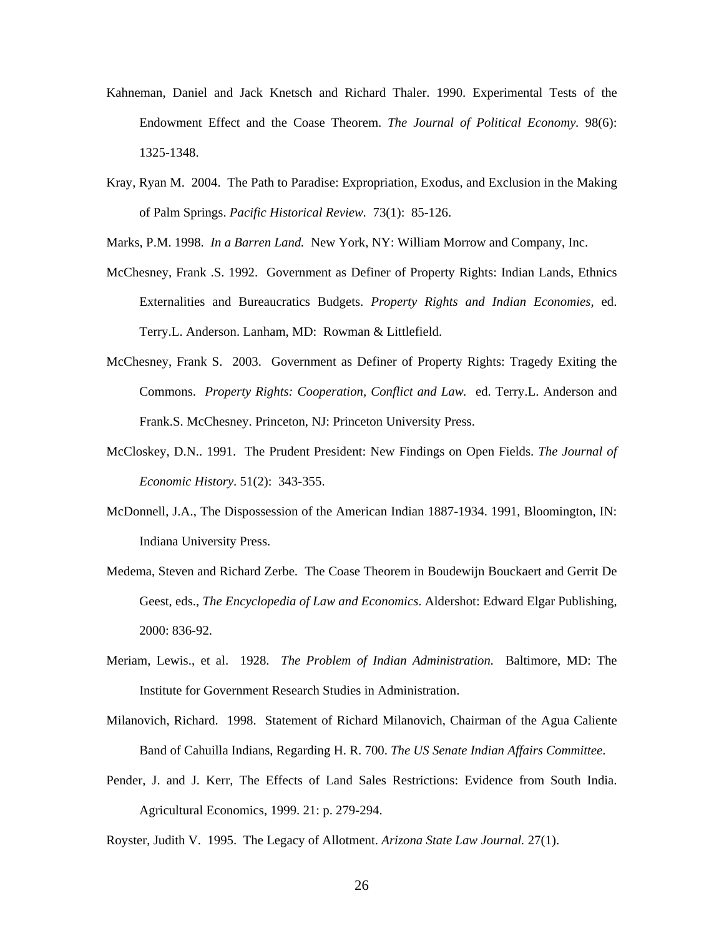- Kahneman, Daniel and Jack Knetsch and Richard Thaler. 1990. Experimental Tests of the Endowment Effect and the Coase Theorem. *The Journal of Political Economy.* 98(6): 1325-1348.
- Kray, Ryan M. 2004. The Path to Paradise: Expropriation, Exodus, and Exclusion in the Making of Palm Springs. *Pacific Historical Review.* 73(1): 85-126.

Marks, P.M. 1998. *In a Barren Land.* New York, NY: William Morrow and Company, Inc.

- McChesney, Frank .S. 1992. Government as Definer of Property Rights: Indian Lands, Ethnics Externalities and Bureaucratics Budgets. *Property Rights and Indian Economies,* ed. Terry.L. Anderson. Lanham, MD: Rowman & Littlefield.
- McChesney, Frank S. 2003. Government as Definer of Property Rights: Tragedy Exiting the Commons. *Property Rights: Cooperation, Conflict and Law.* ed. Terry.L. Anderson and Frank.S. McChesney. Princeton, NJ: Princeton University Press.
- McCloskey, D.N.. 1991. The Prudent President: New Findings on Open Fields. *The Journal of Economic History*. 51(2): 343-355.
- McDonnell, J.A., The Dispossession of the American Indian 1887-1934. 1991, Bloomington, IN: Indiana University Press.
- Medema, Steven and Richard Zerbe. The Coase Theorem in Boudewijn Bouckaert and Gerrit De Geest, eds., *The Encyclopedia of Law and Economics*. Aldershot: Edward Elgar Publishing, 2000: 836-92.
- Meriam, Lewis., et al. 1928. *The Problem of Indian Administration.* Baltimore, MD: The Institute for Government Research Studies in Administration.
- Milanovich, Richard. 1998. Statement of Richard Milanovich, Chairman of the Agua Caliente Band of Cahuilla Indians, Regarding H. R. 700. *The US Senate Indian Affairs Committee*.
- Pender, J. and J. Kerr, The Effects of Land Sales Restrictions: Evidence from South India. Agricultural Economics, 1999. 21: p. 279-294.

Royster, Judith V. 1995. The Legacy of Allotment. *Arizona State Law Journal.* 27(1).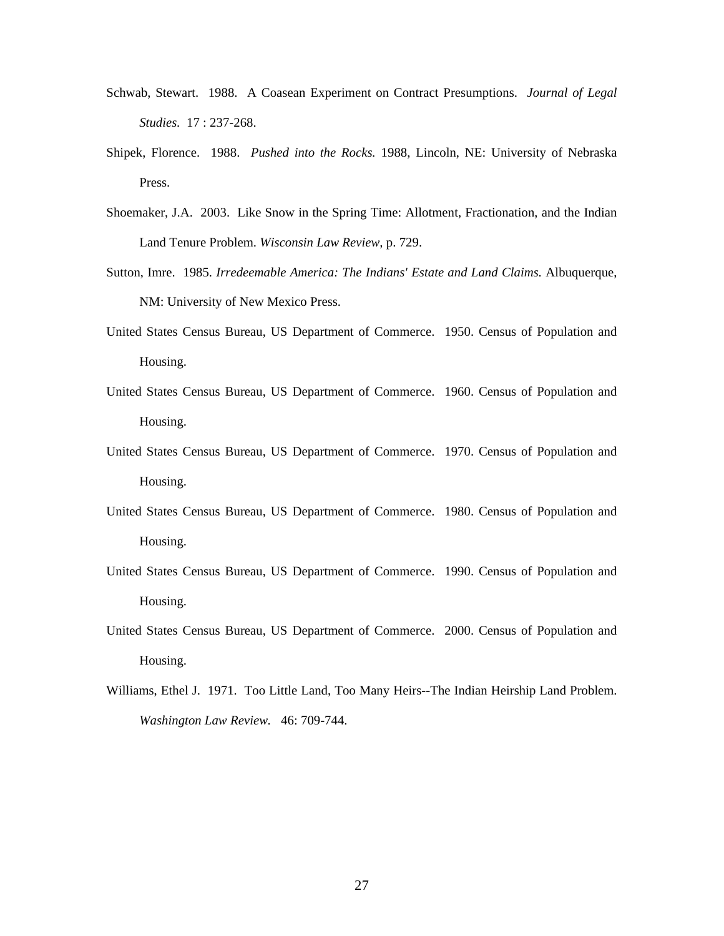- Schwab, Stewart. 1988. A Coasean Experiment on Contract Presumptions. *Journal of Legal Studies.* 17 : 237-268.
- Shipek, Florence. 1988. *Pushed into the Rocks.* 1988, Lincoln, NE: University of Nebraska Press.
- Shoemaker, J.A. 2003. Like Snow in the Spring Time: Allotment, Fractionation, and the Indian Land Tenure Problem. *Wisconsin Law Review,* p. 729.
- Sutton, Imre. 1985. *Irredeemable America: The Indians' Estate and Land Claims.* Albuquerque, NM: University of New Mexico Press.
- United States Census Bureau, US Department of Commerce. 1950. Census of Population and Housing.
- United States Census Bureau, US Department of Commerce. 1960. Census of Population and Housing.
- United States Census Bureau, US Department of Commerce. 1970. Census of Population and Housing.
- United States Census Bureau, US Department of Commerce. 1980. Census of Population and Housing.
- United States Census Bureau, US Department of Commerce. 1990. Census of Population and Housing.
- United States Census Bureau, US Department of Commerce. 2000. Census of Population and Housing.
- Williams, Ethel J. 1971. Too Little Land, Too Many Heirs--The Indian Heirship Land Problem. *Washington Law Review.* 46: 709-744.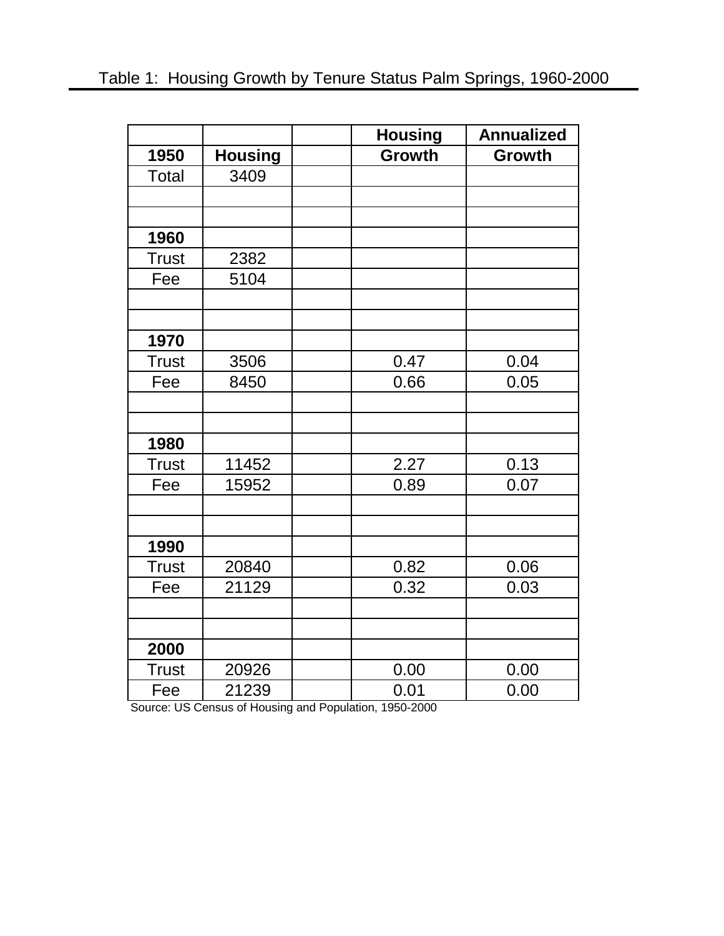|              |                | <b>Housing</b> | <b>Annualized</b> |
|--------------|----------------|----------------|-------------------|
| 1950         | <b>Housing</b> | <b>Growth</b>  | <b>Growth</b>     |
| Total        | 3409           |                |                   |
|              |                |                |                   |
|              |                |                |                   |
| 1960         |                |                |                   |
| <b>Trust</b> | 2382           |                |                   |
| Fee          | 5104           |                |                   |
|              |                |                |                   |
|              |                |                |                   |
| 1970         |                |                |                   |
| <b>Trust</b> | 3506           | 0.47           | 0.04              |
| Fee          | 8450           | 0.66           | 0.05              |
|              |                |                |                   |
|              |                |                |                   |
| 1980         |                |                |                   |
| <b>Trust</b> | 11452          | 2.27           | 0.13              |
| Fee          | 15952          | 0.89           | 0.07              |
|              |                |                |                   |
|              |                |                |                   |
| 1990         |                |                |                   |
| <b>Trust</b> | 20840          | 0.82           | 0.06              |
| Fee          | 21129          | 0.32           | 0.03              |
|              |                |                |                   |
|              |                |                |                   |
| 2000         |                |                |                   |
| <b>Trust</b> | 20926          | 0.00           | 0.00              |
| Fee          | 21239          | 0.01           | 0.00              |

Source: US Census of Housing and Population, 1950-2000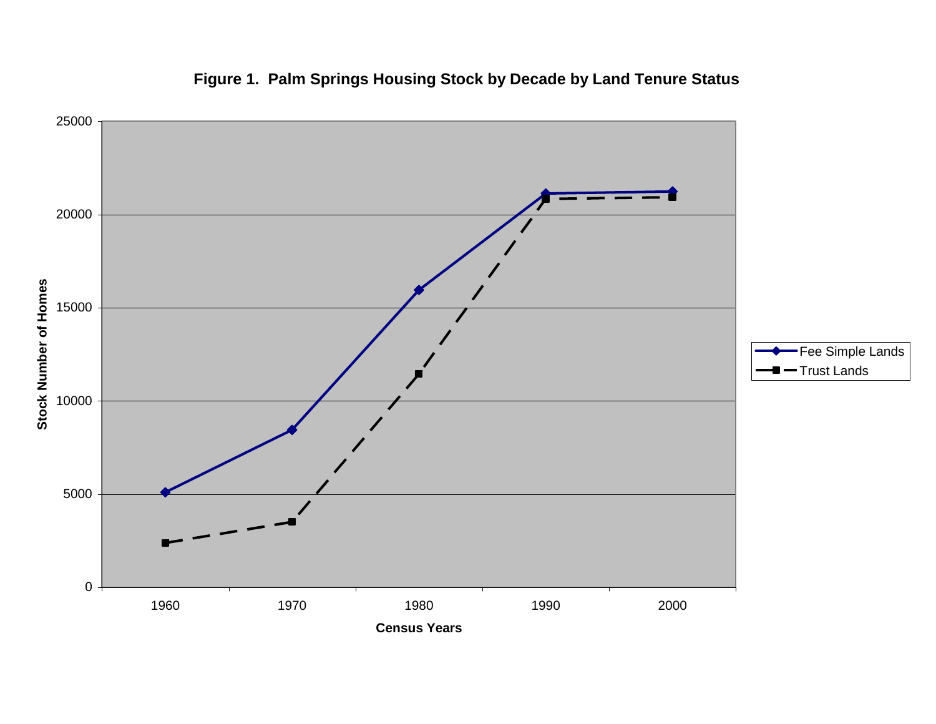

## **Figure 1. Palm Springs Housing Stock by Decade by Land Tenure Status**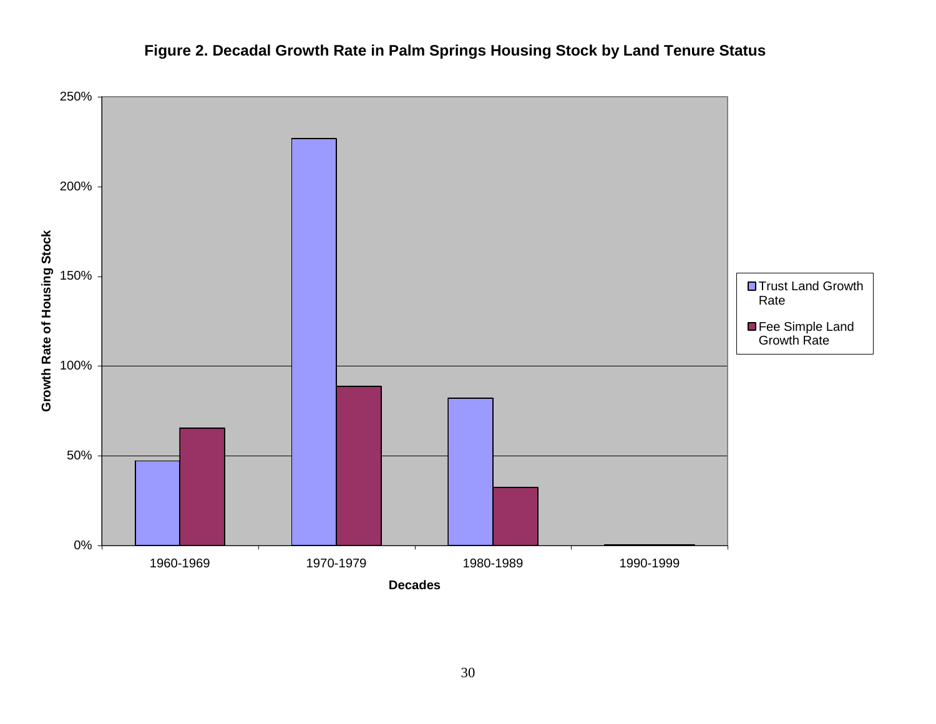

## **Figure 2. Decadal Growth Rate in Palm Springs Housing Stock by Land Tenure Status**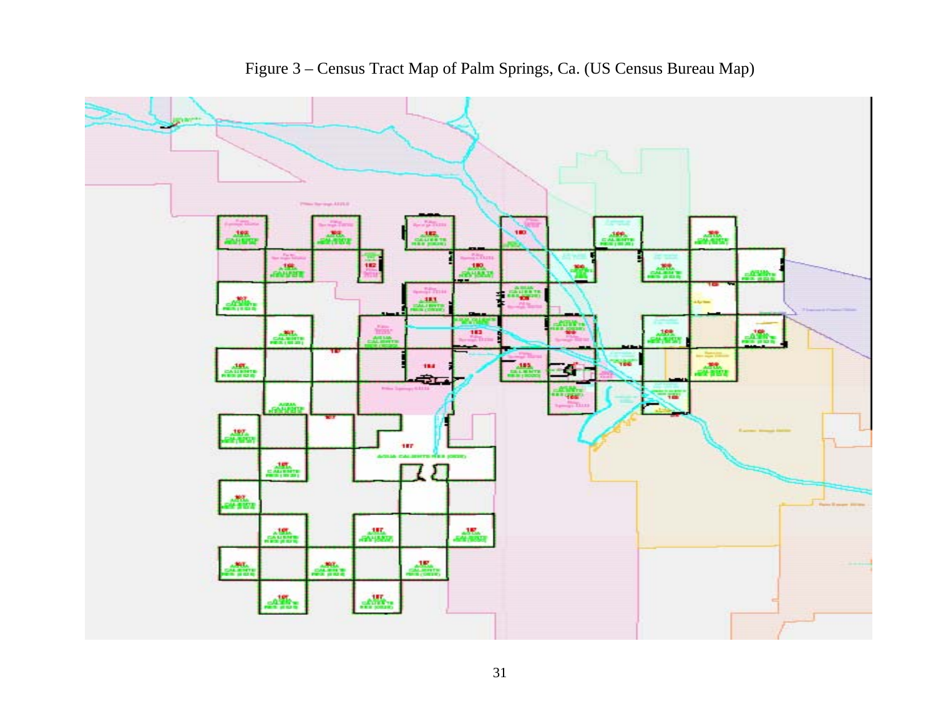

Figure 3 – Census Tract Map of Palm Springs, Ca. (US Census Bureau Map)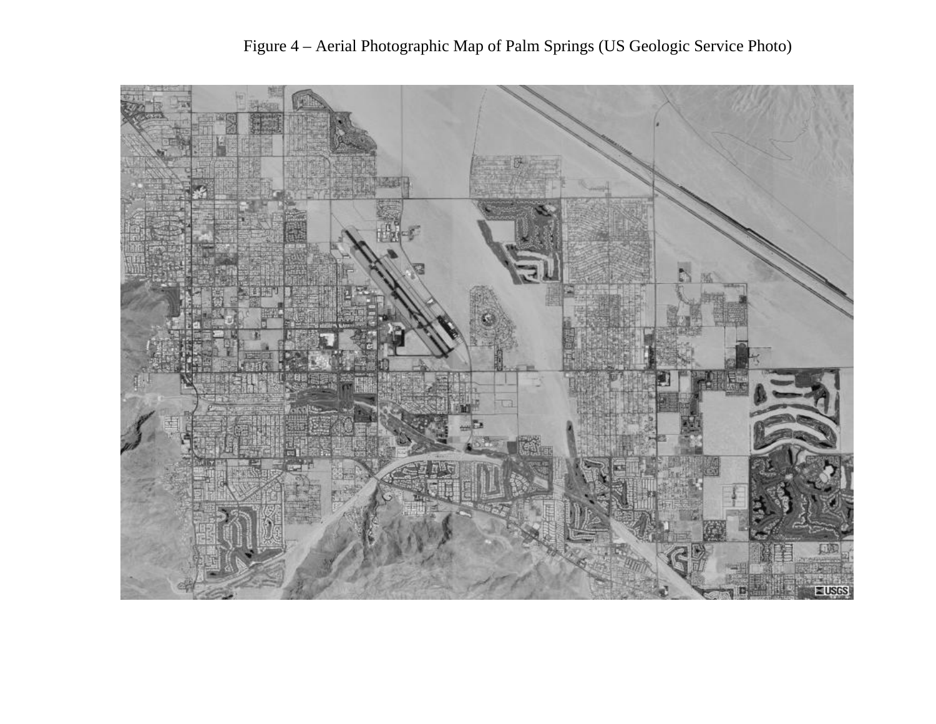

Figure 4 – Aerial Photographic Map of Palm Springs (US Geologic Service Photo)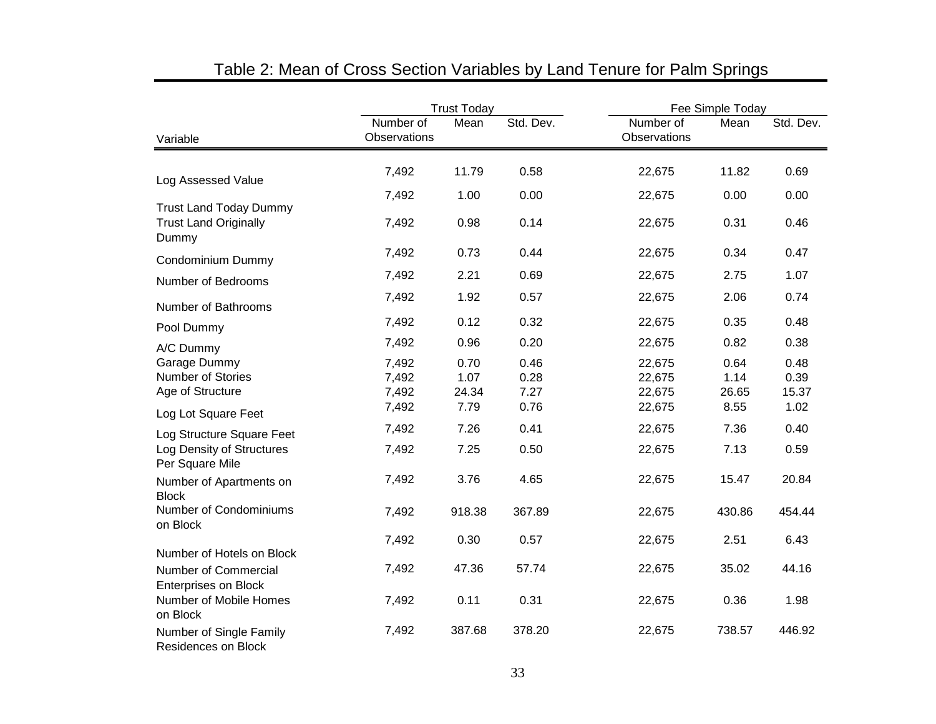|                                                     | <b>Trust Today</b>        |        |           | Fee Simple Today          |        |           |
|-----------------------------------------------------|---------------------------|--------|-----------|---------------------------|--------|-----------|
| Variable                                            | Number of<br>Observations | Mean   | Std. Dev. | Number of<br>Observations | Mean   | Std. Dev. |
| Log Assessed Value                                  | 7,492                     | 11.79  | 0.58      | 22,675                    | 11.82  | 0.69      |
|                                                     | 7,492                     | 1.00   | 0.00      | 22,675                    | 0.00   | 0.00      |
| <b>Trust Land Today Dummy</b>                       |                           |        |           |                           |        |           |
| <b>Trust Land Originally</b><br>Dummy               | 7,492                     | 0.98   | 0.14      | 22,675                    | 0.31   | 0.46      |
| Condominium Dummy                                   | 7,492                     | 0.73   | 0.44      | 22,675                    | 0.34   | 0.47      |
| Number of Bedrooms                                  | 7,492                     | 2.21   | 0.69      | 22,675                    | 2.75   | 1.07      |
| Number of Bathrooms                                 | 7,492                     | 1.92   | 0.57      | 22,675                    | 2.06   | 0.74      |
| Pool Dummy                                          | 7,492                     | 0.12   | 0.32      | 22,675                    | 0.35   | 0.48      |
| A/C Dummy                                           | 7,492                     | 0.96   | 0.20      | 22,675                    | 0.82   | 0.38      |
| Garage Dummy                                        | 7,492                     | 0.70   | 0.46      | 22,675                    | 0.64   | 0.48      |
| Number of Stories                                   | 7,492                     | 1.07   | 0.28      | 22,675                    | 1.14   | 0.39      |
| Age of Structure                                    | 7,492                     | 24.34  | 7.27      | 22,675                    | 26.65  | 15.37     |
| Log Lot Square Feet                                 | 7,492                     | 7.79   | 0.76      | 22,675                    | 8.55   | 1.02      |
| Log Structure Square Feet                           | 7,492                     | 7.26   | 0.41      | 22,675                    | 7.36   | 0.40      |
| Log Density of Structures<br>Per Square Mile        | 7,492                     | 7.25   | 0.50      | 22,675                    | 7.13   | 0.59      |
| Number of Apartments on<br><b>Block</b>             | 7,492                     | 3.76   | 4.65      | 22,675                    | 15.47  | 20.84     |
| Number of Condominiums<br>on Block                  | 7,492                     | 918.38 | 367.89    | 22,675                    | 430.86 | 454.44    |
|                                                     | 7,492                     | 0.30   | 0.57      | 22,675                    | 2.51   | 6.43      |
| Number of Hotels on Block                           |                           |        |           |                           |        |           |
| Number of Commercial<br><b>Enterprises on Block</b> | 7,492                     | 47.36  | 57.74     | 22,675                    | 35.02  | 44.16     |
| Number of Mobile Homes<br>on Block                  | 7,492                     | 0.11   | 0.31      | 22,675                    | 0.36   | 1.98      |
| Number of Single Family<br>Residences on Block      | 7,492                     | 387.68 | 378.20    | 22,675                    | 738.57 | 446.92    |

# Table 2: Mean of Cross Section Variables by Land Tenure for Palm Springs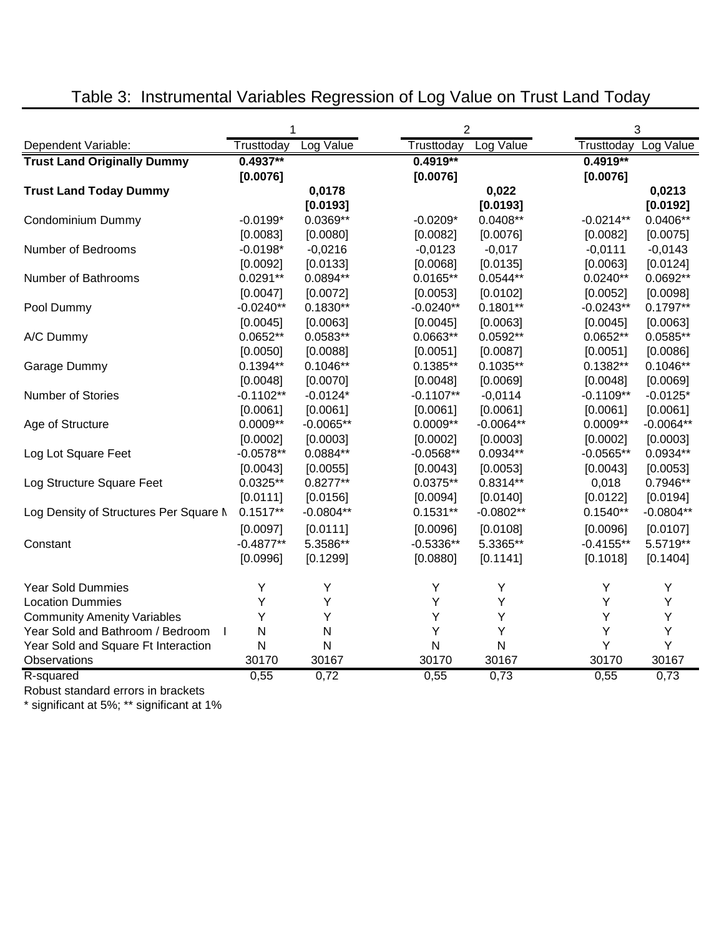|                                                  |             |             | 2           |             | 3                    |             |
|--------------------------------------------------|-------------|-------------|-------------|-------------|----------------------|-------------|
| Dependent Variable:                              | Trusttoday  | Log Value   | Trusttoday  | Log Value   | Trusttoday Log Value |             |
| <b>Trust Land Originally Dummy</b>               | $0.4937**$  |             | $0.4919**$  |             | $0.4919**$           |             |
|                                                  | [0.0076]    |             | [0.0076]    |             | [0.0076]             |             |
| <b>Trust Land Today Dummy</b>                    |             | 0,0178      |             | 0,022       |                      | 0,0213      |
|                                                  |             | [0.0193]    |             | [0.0193]    |                      | [0.0192]    |
| Condominium Dummy                                | $-0.0199*$  | $0.0369**$  | $-0.0209*$  | $0.0408**$  | $-0.0214**$          | $0.0406**$  |
|                                                  | [0.0083]    | [0.0080]    | [0.0082]    | [0.0076]    | [0.0082]             | [0.0075]    |
| Number of Bedrooms                               | $-0.0198*$  | $-0,0216$   | $-0,0123$   | $-0,017$    | $-0,0111$            | $-0,0143$   |
|                                                  | [0.0092]    | [0.0133]    | [0.0068]    | [0.0135]    | [0.0063]             | [0.0124]    |
| Number of Bathrooms                              | $0.0291**$  | $0.0894**$  | $0.0165**$  | $0.0544**$  | $0.0240**$           | $0.0692**$  |
|                                                  | [0.0047]    | [0.0072]    | [0.0053]    | [0.0102]    | [0.0052]             | [0.0098]    |
| Pool Dummy                                       | $-0.0240**$ | $0.1830**$  | $-0.0240**$ | $0.1801**$  | $-0.0243**$          | $0.1797**$  |
|                                                  | [0.0045]    | [0.0063]    | [0.0045]    | [0.0063]    | [0.0045]             | [0.0063]    |
| A/C Dummy                                        | $0.0652**$  | $0.0583**$  | $0.0663**$  | $0.0592**$  | $0.0652**$           | $0.0585**$  |
|                                                  | [0.0050]    | [0.0088]    | [0.0051]    | [0.0087]    | [0.0051]             | [0.0086]    |
| Garage Dummy                                     | $0.1394**$  | $0.1046**$  | $0.1385**$  | $0.1035**$  | $0.1382**$           | $0.1046**$  |
|                                                  | [0.0048]    | [0.0070]    | [0.0048]    | [0.0069]    | [0.0048]             | [0.0069]    |
| Number of Stories                                | $-0.1102**$ | $-0.0124*$  | $-0.1107**$ | $-0,0114$   | $-0.1109**$          | $-0.0125*$  |
|                                                  | [0.0061]    | [0.0061]    | [0.0061]    | [0.0061]    | [0.0061]             | [0.0061]    |
| Age of Structure                                 | $0.0009**$  | $-0.0065**$ | $0.0009**$  | $-0.0064**$ | $0.0009**$           | $-0.0064**$ |
|                                                  | [0.0002]    | [0.0003]    | [0.0002]    | [0.0003]    | [0.0002]             | [0.0003]    |
| Log Lot Square Feet                              | $-0.0578**$ | $0.0884**$  | $-0.0568**$ | $0.0934**$  | $-0.0565**$          | $0.0934**$  |
|                                                  | [0.0043]    | [0.0055]    | [0.0043]    | [0.0053]    | [0.0043]             | [0.0053]    |
| Log Structure Square Feet                        | $0.0325**$  | $0.8277**$  | $0.0375**$  | $0.8314**$  | 0,018                | 0.7946**    |
|                                                  | [0.0111]    | [0.0156]    | [0.0094]    | [0.0140]    | [0.0122]             | [0.0194]    |
| Log Density of Structures Per Square M           | $0.1517**$  | $-0.0804**$ | $0.1531**$  | $-0.0802**$ | $0.1540**$           | $-0.0804**$ |
|                                                  | [0.0097]    | [0.0111]    | [0.0096]    | [0.0108]    | [0.0096]             | [0.0107]    |
| Constant                                         | $-0.4877**$ | 5.3586**    | $-0.5336**$ | 5.3365**    | $-0.4155**$          | 5.5719**    |
|                                                  | [0.0996]    | [0.1299]    | [0.0880]    | [0.1141]    | [0.1018]             | [0.1404]    |
| <b>Year Sold Dummies</b>                         | Υ           | Y           | Υ           | Y           | Y                    | Υ           |
| <b>Location Dummies</b>                          | Y           | Y           | Υ           | Y           | Y                    | Υ           |
| <b>Community Amenity Variables</b>               | Y           | Ý           | Y           | Y           | Y                    | Υ           |
| Year Sold and Bathroom / Bedroom<br>$\mathbf{I}$ | N           | N           | Υ           | Υ           | Υ                    | Y           |
| Year Sold and Square Ft Interaction              | N           | N           | N           | N           | Y                    | Υ           |
| Observations                                     | 30170       | 30167       | 30170       | 30167       | 30170                | 30167       |
| R-squared                                        | 0,55        | 0,72        | 0,55        | 0,73        | 0,55                 | 0,73        |

# Table 3: Instrumental Variables Regression of Log Value on Trust Land Today

Robust standard errors in brackets

\* significant at 5%; \*\* significant at 1%